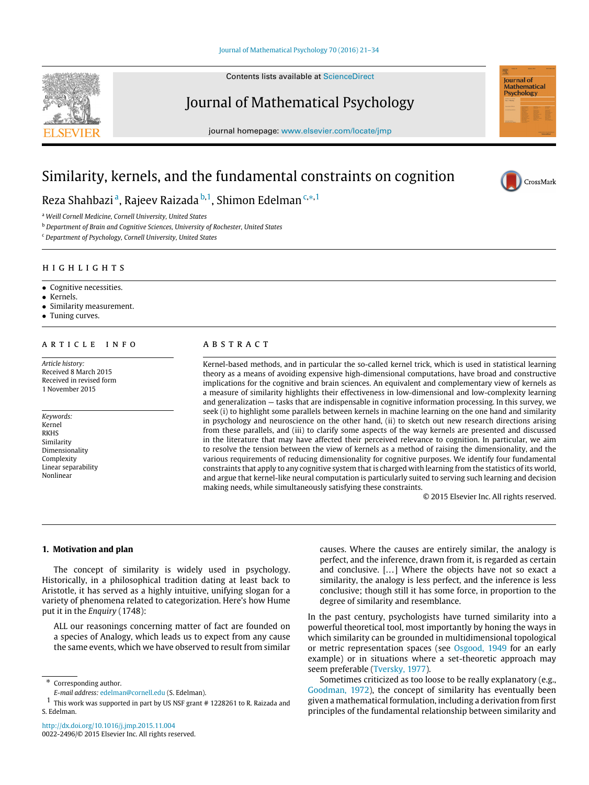## [Journal of Mathematical Psychology 70 \(2016\) 21–34](http://dx.doi.org/10.1016/j.jmp.2015.11.004)

Contents lists available at [ScienceDirect](http://www.elsevier.com/locate/jmp)

# Journal of Mathematical Psychology

journal homepage: [www.elsevier.com/locate/jmp](http://www.elsevier.com/locate/jmp)



CrossMark

# Similarity, kernels, and the fundamental constraints on cognition

Rez[a](#page-0-0) Shah[b](#page-0-1)azi <sup>a</sup>, Rajeev Raizada <sup>b[,1](#page-0-2)</sup>, Shimon Edelman <sup>[c,](#page-0-3)</sup>\*,<sup>1</sup>

<span id="page-0-0"></span><sup>a</sup> *Weill Cornell Medicine, Cornell University, United States*

<span id="page-0-1"></span><sup>b</sup> *Department of Brain and Cognitive Sciences, University of Rochester, United States*

<span id="page-0-3"></span><sup>c</sup> *Department of Psychology, Cornell University, United States*

# h i g h l i g h t s

- Cognitive necessities.
- Kernels.
- Similarity measurement.
- Tuning curves.

#### ARTICLE INFO

*Article history:* Received 8 March 2015 Received in revised form 1 November 2015

*Keywords:* Kernel RKHS Similarity Dimensionality Complexity Linear separability Nonlinear

# A B S T R A C T

Kernel-based methods, and in particular the so-called kernel trick, which is used in statistical learning theory as a means of avoiding expensive high-dimensional computations, have broad and constructive implications for the cognitive and brain sciences. An equivalent and complementary view of kernels as a measure of similarity highlights their effectiveness in low-dimensional and low-complexity learning and generalization — tasks that are indispensable in cognitive information processing. In this survey, we seek (i) to highlight some parallels between kernels in machine learning on the one hand and similarity in psychology and neuroscience on the other hand, (ii) to sketch out new research directions arising from these parallels, and (iii) to clarify some aspects of the way kernels are presented and discussed in the literature that may have affected their perceived relevance to cognition. In particular, we aim to resolve the tension between the view of kernels as a method of raising the dimensionality, and the various requirements of reducing dimensionality for cognitive purposes. We identify four fundamental constraints that apply to any cognitive system that is charged with learning from the statistics of its world, and argue that kernel-like neural computation is particularly suited to serving such learning and decision making needs, while simultaneously satisfying these constraints.

© 2015 Elsevier Inc. All rights reserved.

### **1. Motivation and plan**

The concept of similarity is widely used in psychology. Historically, in a philosophical tradition dating at least back to Aristotle, it has served as a highly intuitive, unifying slogan for a variety of phenomena related to categorization. Here's how Hume put it in the *Enquiry* (1748):

ALL our reasonings concerning matter of fact are founded on a species of Analogy, which leads us to expect from any cause the same events, which we have observed to result from similar causes. Where the causes are entirely similar, the analogy is perfect, and the inference, drawn from it, is regarded as certain and conclusive. [...] Where the objects have not so exact a similarity, the analogy is less perfect, and the inference is less conclusive; though still it has some force, in proportion to the degree of similarity and resemblance.

In the past century, psychologists have turned similarity into a powerful theoretical tool, most importantly by honing the ways in which similarity can be grounded in multidimensional topological or metric representation spaces (see [Osgood,](#page-12-0) [1949](#page-12-0) for an early example) or in situations where a set-theoretic approach may seem preferable [\(Tversky,](#page-13-0) [1977\)](#page-13-0).

Sometimes criticized as too loose to be really explanatory (e.g., [Goodman,](#page-12-1) [1972\)](#page-12-1), the concept of similarity has eventually been given a mathematical formulation, including a derivation from first principles of the fundamental relationship between similarity and



<span id="page-0-4"></span><sup>∗</sup> Corresponding author.

<span id="page-0-2"></span>*E-mail address:* [edelman@cornell.edu](mailto:edelman@cornell.edu) (S. Edelman).

 $1$  This work was supported in part by US NSF grant  $#$  1228261 to R. Raizada and S. Edelman.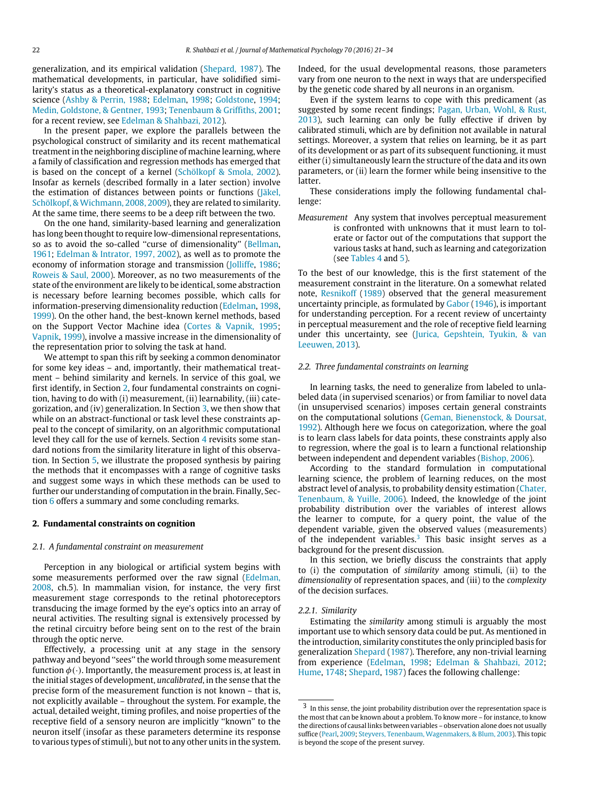generalization, and its empirical validation [\(Shepard,](#page-12-2) [1987\)](#page-12-2). The mathematical developments, in particular, have solidified similarity's status as a theoretical-explanatory construct in cognitive science [\(Ashby](#page-11-0) [&](#page-11-0) [Perrin,](#page-11-0) [1988;](#page-11-0) [Edelman,](#page-12-3) [1998;](#page-12-3) [Goldstone,](#page-12-4) [1994;](#page-12-4) [Medin,](#page-12-5) [Goldstone,](#page-12-5) [&](#page-12-5) [Gentner,](#page-12-5) [1993;](#page-12-5) [Tenenbaum](#page-13-1) [&](#page-13-1) [Griffiths,](#page-13-1) [2001;](#page-13-1) for a recent review, see [Edelman](#page-12-6) [&](#page-12-6) [Shahbazi,](#page-12-6) [2012\)](#page-12-6).

In the present paper, we explore the parallels between the psychological construct of similarity and its recent mathematical treatment in the neighboring discipline of machine learning, where a family of classification and regression methods has emerged that is based on the concept of a kernel [\(Schölkopf](#page-12-7) [&](#page-12-7) [Smola,](#page-12-7) [2002\)](#page-12-7). Insofar as kernels (described formally in a later section) involve the estimation of distances between points or functions [\(Jäkel,](#page-12-8) [Schölkopf,](#page-12-8) [&](#page-12-8) [Wichmann,](#page-12-8) [2008,](#page-12-8) [2009\)](#page-12-9), they are related to similarity. At the same time, there seems to be a deep rift between the two.

On the one hand, similarity-based learning and generalization has long been thought to require low-dimensional representations, so as to avoid the so-called ''curse of dimensionality'' [\(Bellman,](#page-11-1) [1961;](#page-11-1) [Edelman](#page-12-10) [&](#page-12-10) [Intrator,](#page-12-10) [1997,](#page-12-10) [2002\)](#page-12-11), as well as to promote the economy of information storage and transmission [\(Jolliffe,](#page-12-12) [1986;](#page-12-12) [Roweis](#page-12-13) [&](#page-12-13) [Saul,](#page-12-13) [2000\)](#page-12-13). Moreover, as no two measurements of the state of the environment are likely to be identical, some abstraction is necessary before learning becomes possible, which calls for information-preserving dimensionality reduction [\(Edelman,](#page-12-3) [1998,](#page-12-3) [1999\)](#page-12-3). On the other hand, the best-known kernel methods, based on the Support Vector Machine idea [\(Cortes](#page-11-2) [&](#page-11-2) [Vapnik,](#page-11-2) [1995;](#page-11-2) [Vapnik,](#page-13-2) [1999\)](#page-13-2), involve a massive increase in the dimensionality of the representation prior to solving the task at hand.

We attempt to span this rift by seeking a common denominator for some key ideas – and, importantly, their mathematical treatment – behind similarity and kernels. In service of this goal, we first identify, in Section [2,](#page-1-0) four fundamental constraints on cognition, having to do with (i) measurement, (ii) learnability, (iii) categorization, and (iv) generalization. In Section [3,](#page-2-0) we then show that while on an abstract-functional or task level these constraints appeal to the concept of similarity, on an algorithmic computational level they call for the use of kernels. Section [4](#page-7-0) revisits some standard notions from the similarity literature in light of this observation. In Section [5,](#page-8-0) we illustrate the proposed synthesis by pairing the methods that it encompasses with a range of cognitive tasks and suggest some ways in which these methods can be used to further our understanding of computation in the brain. Finally, Section [6](#page-11-3) offers a summary and some concluding remarks.

#### <span id="page-1-0"></span>**2. Fundamental constraints on cognition**

#### <span id="page-1-2"></span>*2.1. A fundamental constraint on measurement*

Perception in any biological or artificial system begins with some measurements performed over the raw signal [\(Edelman,](#page-12-14) [2008,](#page-12-14) ch.5). In mammalian vision, for instance, the very first measurement stage corresponds to the retinal photoreceptors transducing the image formed by the eye's optics into an array of neural activities. The resulting signal is extensively processed by the retinal circuitry before being sent on to the rest of the brain through the optic nerve.

Effectively, a processing unit at any stage in the sensory pathway and beyond ''sees'' the world through some measurement function  $\phi(\cdot)$ . Importantly, the measurement process is, at least in the initial stages of development, *uncalibrated*, in the sense that the precise form of the measurement function is not known – that is, not explicitly available – throughout the system. For example, the actual, detailed weight, timing profiles, and noise properties of the receptive field of a sensory neuron are implicitly ''known'' to the neuron itself (insofar as these parameters determine its response to various types of stimuli), but not to any other units in the system. Indeed, for the usual developmental reasons, those parameters vary from one neuron to the next in ways that are underspecified by the genetic code shared by all neurons in an organism.

Even if the system learns to cope with this predicament (as suggested by some recent findings; [Pagan,](#page-12-15) [Urban,](#page-12-15) [Wohl,](#page-12-15) [&](#page-12-15) [Rust,](#page-12-15) [2013\)](#page-12-15), such learning can only be fully effective if driven by calibrated stimuli, which are by definition not available in natural settings. Moreover, a system that relies on learning, be it as part of its development or as part of its subsequent functioning, it must either (i) simultaneously learn the structure of the data and its own parameters, or (ii) learn the former while being insensitive to the latter.

These considerations imply the following fundamental challenge:

*Measurement* Any system that involves perceptual measurement is confronted with unknowns that it must learn to tolerate or factor out of the computations that support the various tasks at hand, such as learning and categorization (see [Tables 4](#page-10-0) and [5\)](#page-10-1).

To the best of our knowledge, this is the first statement of the measurement constraint in the literature. On a somewhat related note, [Resnikoff](#page-12-16) [\(1989\)](#page-12-16) observed that the general measurement uncertainty principle, as formulated by [Gabor](#page-12-17) [\(1946\)](#page-12-17), is important for understanding perception. For a recent review of uncertainty in perceptual measurement and the role of receptive field learning under this uncertainty, see [\(Jurica,](#page-12-18) [Gepshtein,](#page-12-18) [Tyukin,](#page-12-18) [&](#page-12-18) [van](#page-12-18) [Leeuwen,](#page-12-18) [2013\)](#page-12-18).

## *2.2. Three fundamental constraints on learning*

In learning tasks, the need to generalize from labeled to unlabeled data (in supervised scenarios) or from familiar to novel data (in unsupervised scenarios) imposes certain general constraints on the computational solutions [\(Geman,](#page-12-19) [Bienenstock,](#page-12-19) [&](#page-12-19) [Doursat,](#page-12-19) [1992\)](#page-12-19). Although here we focus on categorization, where the goal is to learn class labels for data points, these constraints apply also to regression, where the goal is to learn a functional relationship between independent and dependent variables [\(Bishop,](#page-11-4) [2006\)](#page-11-4).

According to the standard formulation in computational learning science, the problem of learning reduces, on the most abstract level of analysis, to probability density estimation [\(Chater,](#page-11-5) [Tenenbaum,](#page-11-5) [&](#page-11-5) [Yuille,](#page-11-5) [2006\)](#page-11-5). Indeed, the knowledge of the joint probability distribution over the variables of interest allows the learner to compute, for a query point, the value of the dependent variable, given the observed values (measurements) of the independent variables. $3$  This basic insight serves as a background for the present discussion.

In this section, we briefly discuss the constraints that apply to (i) the computation of *similarity* among stimuli, (ii) to the *dimensionality* of representation spaces, and (iii) to the *complexity* of the decision surfaces.

#### <span id="page-1-3"></span>*2.2.1. Similarity*

Estimating the *similarity* among stimuli is arguably the most important use to which sensory data could be put. As mentioned in the introduction, similarity constitutes the only principled basis for generalization [Shepard](#page-12-2) [\(1987\)](#page-12-2). Therefore, any non-trivial learning from experience [\(Edelman,](#page-12-3) [1998;](#page-12-3) [Edelman](#page-12-6) [&](#page-12-6) [Shahbazi,](#page-12-6) [2012;](#page-12-6) [Hume,](#page-12-20) [1748;](#page-12-20) [Shepard,](#page-12-2) [1987\)](#page-12-2) faces the following challenge:

<span id="page-1-1"></span> $3\,$  In this sense, the joint probability distribution over the representation space is the most that can be known about a problem. To know more – for instance, to know the directions of causal links between variables – observation alone does not usually suffice [\(Pearl,](#page-12-21) [2009;](#page-12-21) [Steyvers,](#page-13-3) [Tenenbaum,](#page-13-3) [Wagenmakers,](#page-13-3) [&](#page-13-3) [Blum,](#page-13-3) [2003\)](#page-13-3). This topic is beyond the scope of the present survey.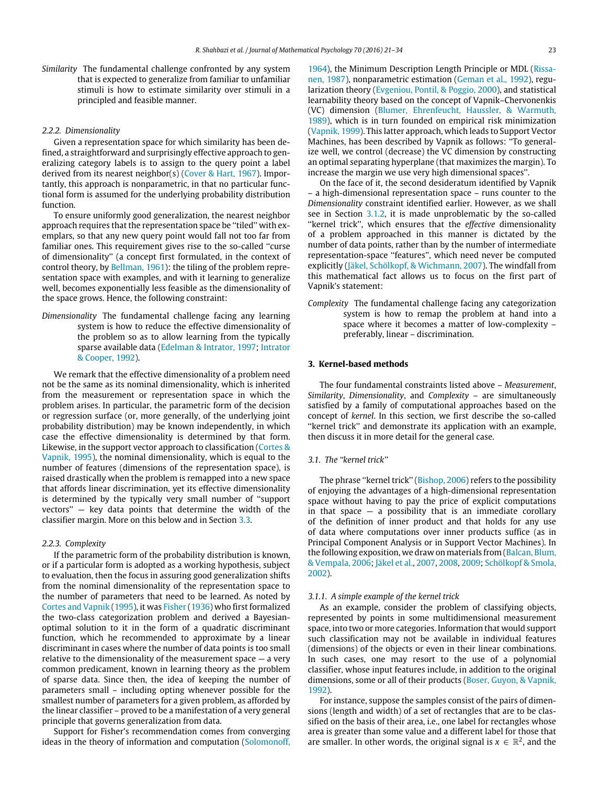*Similarity* The fundamental challenge confronted by any system that is expected to generalize from familiar to unfamiliar stimuli is how to estimate similarity over stimuli in a principled and feasible manner.

#### <span id="page-2-3"></span>*2.2.2. Dimensionality*

Given a representation space for which similarity has been defined, a straightforward and surprisingly effective approach to generalizing category labels is to assign to the query point a label derived from its nearest neighbor(s) [\(Cover](#page-12-22) [&](#page-12-22) [Hart,](#page-12-22) [1967\)](#page-12-22). Importantly, this approach is nonparametric, in that no particular functional form is assumed for the underlying probability distribution function.

To ensure uniformly good generalization, the nearest neighbor approach requires that the representation space be "tiled" with exemplars, so that any new query point would fall not too far from familiar ones. This requirement gives rise to the so-called ''curse of dimensionality'' (a concept first formulated, in the context of control theory, by [Bellman,](#page-11-1) [1961\)](#page-11-1): the tiling of the problem representation space with examples, and with it learning to generalize well, becomes exponentially less feasible as the dimensionality of the space grows. Hence, the following constraint:

*Dimensionality* The fundamental challenge facing any learning system is how to reduce the effective dimensionality of the problem so as to allow learning from the typically sparse available data [\(Edelman](#page-12-10) [&](#page-12-10) [Intrator,](#page-12-10) [1997;](#page-12-10) [Intrator](#page-12-23) [&](#page-12-23) [Cooper,](#page-12-23) [1992\)](#page-12-23).

We remark that the effective dimensionality of a problem need not be the same as its nominal dimensionality, which is inherited from the measurement or representation space in which the problem arises. In particular, the parametric form of the decision or regression surface (or, more generally, of the underlying joint probability distribution) may be known independently, in which case the effective dimensionality is determined by that form. Likewise, in the support vector approach to classification [\(Cortes](#page-11-2) [&](#page-11-2) [Vapnik,](#page-11-2) [1995\)](#page-11-2), the nominal dimensionality, which is equal to the number of features (dimensions of the representation space), is raised drastically when the problem is remapped into a new space that affords linear discrimination, yet its effective dimensionality is determined by the typically very small number of ''support  $vectors'' - key data points that determine the width of the$ classifier margin. More on this below and in Section [3.3.](#page-5-0)

## <span id="page-2-1"></span>*2.2.3. Complexity*

If the parametric form of the probability distribution is known, or if a particular form is adopted as a working hypothesis, subject to evaluation, then the focus in assuring good generalization shifts from the nominal dimensionality of the representation space to the number of parameters that need to be learned. As noted by [Cortes](#page-11-2) [and](#page-11-2) [Vapnik](#page-11-2) [\(1995\)](#page-11-2), it was [Fisher](#page-12-24) [\(1936\)](#page-12-24) who first formalized the two-class categorization problem and derived a Bayesianoptimal solution to it in the form of a quadratic discriminant function, which he recommended to approximate by a linear discriminant in cases where the number of data points is too small relative to the dimensionality of the measurement space — a very common predicament, known in learning theory as the problem of sparse data. Since then, the idea of keeping the number of parameters small – including opting whenever possible for the smallest number of parameters for a given problem, as afforded by the linear classifier – proved to be a manifestation of a very general principle that governs generalization from data.

Support for Fisher's recommendation comes from converging ideas in the theory of information and computation [\(Solomonoff,](#page-13-4) [1964\)](#page-13-4), the Minimum Description Length Principle or MDL [\(Rissa](#page-12-25)[nen,](#page-12-25) [1987\)](#page-12-25), nonparametric estimation [\(Geman](#page-12-19) [et al.,](#page-12-19) [1992\)](#page-12-19), regularization theory [\(Evgeniou,](#page-12-26) [Pontil,](#page-12-26) [&](#page-12-26) [Poggio,](#page-12-26) [2000\)](#page-12-26), and statistical learnability theory based on the concept of Vapnik–Chervonenkis (VC) dimension [\(Blumer,](#page-11-6) [Ehrenfeucht,](#page-11-6) [Haussler,](#page-11-6) [&](#page-11-6) [Warmuth,](#page-11-6) [1989\)](#page-11-6), which is in turn founded on empirical risk minimization [\(Vapnik,](#page-13-2) [1999\)](#page-13-2). This latter approach, which leads to Support Vector Machines, has been described by Vapnik as follows: ''To generalize well, we control (decrease) the VC dimension by constructing an optimal separating hyperplane (that maximizes the margin). To increase the margin we use very high dimensional spaces''.

On the face of it, the second desideratum identified by Vapnik – a high-dimensional representation space – runs counter to the *Dimensionality* constraint identified earlier. However, as we shall see in Section [3.1.2,](#page-3-0) it is made unproblematic by the so-called ''kernel trick'', which ensures that the *effective* dimensionality of a problem approached in this manner is dictated by the number of data points, rather than by the number of intermediate representation-space ''features'', which need never be computed explicitly [\(Jäkel,](#page-12-27) [Schölkopf,](#page-12-27) [&](#page-12-27) [Wichmann,](#page-12-27) [2007\)](#page-12-27). The windfall from this mathematical fact allows us to focus on the first part of Vapnik's statement:

*Complexity* The fundamental challenge facing any categorization system is how to remap the problem at hand into a space where it becomes a matter of low-complexity – preferably, linear – discrimination.

## <span id="page-2-0"></span>**3. Kernel-based methods**

The four fundamental constraints listed above – *Measurement*, *Similarity*, *Dimensionality*, and *Complexity* – are simultaneously satisfied by a family of computational approaches based on the concept of *kernel*. In this section, we first describe the so-called ''kernel trick'' and demonstrate its application with an example, then discuss it in more detail for the general case.

### <span id="page-2-2"></span>*3.1. The ''kernel trick''*

The phrase "kernel trick" [\(Bishop,](#page-11-4) [2006\)](#page-11-4) refers to the possibility of enjoying the advantages of a high-dimensional representation space without having to pay the price of explicit computations in that space  $-$  a possibility that is an immediate corollary of the definition of inner product and that holds for any use of data where computations over inner products suffice (as in Principal Component Analysis or in Support Vector Machines). In the following exposition, we draw on materials from [\(Balcan,](#page-11-7) [Blum,](#page-11-7) [&](#page-11-7) [Vempala,](#page-11-7) [2006;](#page-11-7) [Jäkel](#page-12-27) [et al.,](#page-12-27) [2007,](#page-12-27) [2008,](#page-12-27) [2009;](#page-12-27) [Schölkopf](#page-12-8) [&](#page-12-8) [Smola,](#page-12-8) [2002\)](#page-12-8).

### *3.1.1. A simple example of the kernel trick*

As an example, consider the problem of classifying objects, represented by points in some multidimensional measurement space, into two or more categories. Information that would support such classification may not be available in individual features (dimensions) of the objects or even in their linear combinations. In such cases, one may resort to the use of a polynomial classifier, whose input features include, in addition to the original dimensions, some or all of their products [\(Boser,](#page-11-8) [Guyon,](#page-11-8) [&](#page-11-8) [Vapnik,](#page-11-8) [1992\)](#page-11-8).

For instance, suppose the samples consist of the pairs of dimensions (length and width) of a set of rectangles that are to be classified on the basis of their area, i.e., one label for rectangles whose area is greater than some value and a different label for those that are smaller. In other words, the original signal is  $x \in \mathbb{R}^2$ , and the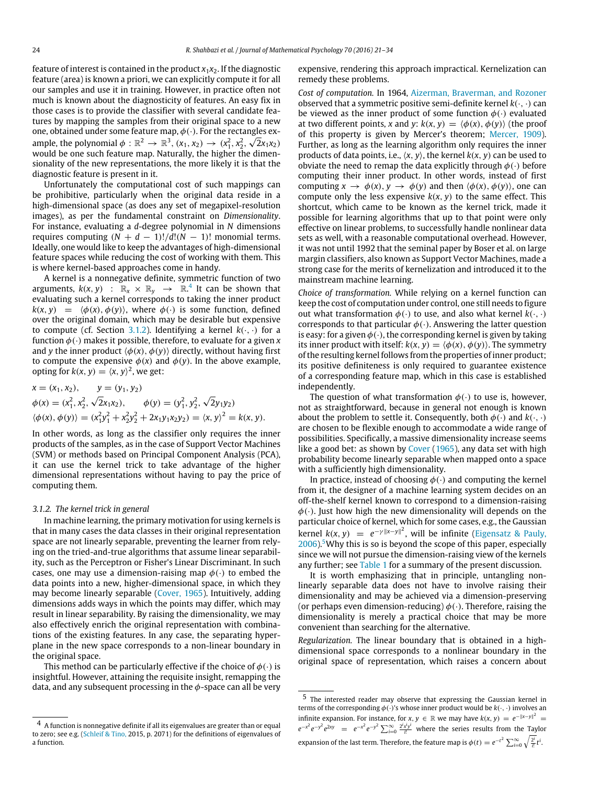feature of interest is contained in the product  $x_1x_2$ . If the diagnostic feature (area) is known a priori, we can explicitly compute it for all our samples and use it in training. However, in practice often not much is known about the diagnosticity of features. An easy fix in those cases is to provide the classifier with several candidate features by mapping the samples from their original space to a new one, obtained under some feature map,  $\phi(\cdot)$ . For the rectangles example, the polynomial  $\phi: \mathbb{R}^2 \to \mathbb{R}^3$ ,  $(x_1, x_2) \to (x_1^2, x_2^2, \sqrt{2}x_1x_2)$ would be one such feature map. Naturally, the higher the dimensionality of the new representations, the more likely it is that the diagnostic feature is present in it.

Unfortunately the computational cost of such mappings can be prohibitive, particularly when the original data reside in a high-dimensional space (as does any set of megapixel-resolution images), as per the fundamental constraint on *Dimensionality*. For instance, evaluating a *d*-degree polynomial in *N* dimensions requires computing  $(N + d - 1)!/d!(N - 1)!$  monomial terms. Ideally, one would like to keep the advantages of high-dimensional feature spaces while reducing the cost of working with them. This is where kernel-based approaches come in handy.

A kernel is a nonnegative definite, symmetric function of two arguments,  $k(x, y)$  :  $\mathbb{R}_x \times \mathbb{R}_y \rightarrow \mathbb{R}$ .<sup>[4](#page-3-1)</sup> It can be shown that evaluating such a kernel corresponds to taking the inner product  $k(x, y) = \langle \phi(x), \phi(y) \rangle$ , where  $\phi(\cdot)$  is some function, defined over the original domain, which may be desirable but expensive to compute (cf. Section [3.1.2\)](#page-3-0). Identifying a kernel  $k(\cdot, \cdot)$  for a function  $\phi(\cdot)$  makes it possible, therefore, to evaluate for a given *x* and *y* the inner product  $\langle \phi(x), \phi(y) \rangle$  directly, without having first to compute the expensive  $\phi(x)$  and  $\phi(y)$ . In the above example, opting for  $k(x, y) = \langle x, y \rangle^2$ , we get:

$$
x = (x_1, x_2), \qquad y = (y_1, y_2)
$$
  
\n
$$
\phi(x) = (x_1^2, x_2^2, \sqrt{2}x_1x_2), \qquad \phi(y) = (y_1^2, y_2^2, \sqrt{2}y_1y_2)
$$
  
\n
$$
\langle \phi(x), \phi(y) \rangle = (x_1^2y_1^2 + x_2^2y_2^2 + 2x_1y_1x_2y_2) = \langle x, y \rangle^2 = k(x, y).
$$

In other words, as long as the classifier only requires the inner products of the samples, as in the case of Support Vector Machines (SVM) or methods based on Principal Component Analysis (PCA), it can use the kernel trick to take advantage of the higher dimensional representations without having to pay the price of computing them.

#### <span id="page-3-0"></span>*3.1.2. The kernel trick in general*

In machine learning, the primary motivation for using kernels is that in many cases the data classes in their original representation space are not linearly separable, preventing the learner from relying on the tried-and-true algorithms that assume linear separability, such as the Perceptron or Fisher's Linear Discriminant. In such cases, one may use a dimension-raising map  $\phi(\cdot)$  to embed the data points into a new, higher-dimensional space, in which they may become linearly separable [\(Cover,](#page-11-9) [1965\)](#page-11-9). Intuitively, adding dimensions adds ways in which the points may differ, which may result in linear separability. By raising the dimensionality, we may also effectively enrich the original representation with combinations of the existing features. In any case, the separating hyperplane in the new space corresponds to a non-linear boundary in the original space.

This method can be particularly effective if the choice of  $\phi(\cdot)$  is insightful. However, attaining the requisite insight, remapping the data, and any subsequent processing in the  $\phi$ -space can all be very expensive, rendering this approach impractical. Kernelization can remedy these problems.

*Cost of computation.* In 1964, [Aizerman,](#page-11-10) [Braverman,](#page-11-10) [and](#page-11-10) [Rozoner](#page-11-10) observed that a symmetric positive semi-definite kernel *k*(·, ·) can be viewed as the inner product of some function  $\phi(\cdot)$  evaluated at two different points, *x* and *y*:  $k(x, y) = \langle \phi(x), \phi(y) \rangle$  (the proof of this property is given by Mercer's theorem; [Mercer,](#page-12-29) [1909\)](#page-12-29). Further, as long as the learning algorithm only requires the inner products of data points, i.e.,  $\langle x, y \rangle$ , the kernel  $k(x, y)$  can be used to obviate the need to remap the data explicitly through  $\phi(\cdot)$  before computing their inner product. In other words, instead of first computing  $x \to \phi(x)$ ,  $y \to \phi(y)$  and then  $\langle \phi(x), \phi(y) \rangle$ , one can compute only the less expensive  $k(x, y)$  to the same effect. This shortcut, which came to be known as the kernel trick, made it possible for learning algorithms that up to that point were only effective on linear problems, to successfully handle nonlinear data sets as well, with a reasonable computational overhead. However, it was not until 1992 that the seminal paper by Boser et al. on large margin classifiers, also known as Support Vector Machines, made a strong case for the merits of kernelization and introduced it to the mainstream machine learning.

*Choice of transformation.* While relying on a kernel function can keep the cost of computation under control, one still needs to figure out what transformation  $\phi(\cdot)$  to use, and also what kernel  $k(\cdot, \cdot)$ corresponds to that particular  $\phi(\cdot)$ . Answering the latter question is easy: for a given  $\phi(\cdot)$ , the corresponding kernel is given by taking its inner product with itself:  $k(x, y) = \langle \phi(x), \phi(y) \rangle$ . The symmetry of the resulting kernel follows from the properties of inner product; its positive definiteness is only required to guarantee existence of a corresponding feature map, which in this case is established independently.

The question of what transformation  $\phi(\cdot)$  to use is, however, not as straightforward, because in general not enough is known about the problem to settle it. Consequently, both  $\phi(\cdot)$  and  $k(\cdot, \cdot)$ are chosen to be flexible enough to accommodate a wide range of possibilities. Specifically, a massive dimensionality increase seems like a good bet: as shown by [Cover](#page-11-9) [\(1965\)](#page-11-9), any data set with high probability become linearly separable when mapped onto a space with a sufficiently high dimensionality.

In practice, instead of choosing  $\phi(\cdot)$  and computing the kernel from it, the designer of a machine learning system decides on an off-the-shelf kernel known to correspond to a dimension-raising  $\phi(\cdot)$ . Just how high the new dimensionality will depends on the particular choice of kernel, which for some cases, e.g., the Gaussian kernel  $k(x, y) = e^{-\gamma ||x - y||^2}$ , will be infinite [\(Eigensatz](#page-12-30) [&](#page-12-30) [Pauly,](#page-12-30)  $2006$ ).<sup>[5](#page-3-2)</sup>Why this is so is beyond the scope of this paper, especially since we will not pursue the dimension-raising view of the kernels any further; see [Table 1](#page-4-0) for a summary of the present discussion.

It is worth emphasizing that in principle, untangling nonlinearly separable data does not have to involve raising their dimensionality and may be achieved via a dimension-preserving (or perhaps even dimension-reducing)  $\phi(\cdot)$ . Therefore, raising the dimensionality is merely a practical choice that may be more convenient than searching for the alternative.

*Regularization.* The linear boundary that is obtained in a highdimensional space corresponds to a nonlinear boundary in the original space of representation, which raises a concern about

<span id="page-3-1"></span><sup>4</sup> A function is nonnegative definite if all its eigenvalues are greater than or equal to zero; see e.g. [\(Schleif](#page-12-28) [&](#page-12-28) [Tino,](#page-12-28) 2015, p. 2071) for the definitions of eigenvalues of a function.

<span id="page-3-2"></span><sup>5</sup> The interested reader may observe that expressing the Gaussian kernel in terms of the corresponding  $\phi(\cdot)$ 's whose inner product would be  $k(\cdot, \cdot)$  involves an infinite expansion. For instance, for *x*, *y* ∈ ℝ we may have  $k(x, y) = e^{-\|x-y\|^2}$  $e^{-x^2}e^{-y^2}e^{2xy} = e^{-x^2}e^{-y^2}\sum_{i=0}^{\infty}\frac{2^ix^iy^i}{i!}$  where the series results from the Taylor expansion of the last term. Therefore, the feature map is  $\phi(t) = e^{-t^2} \sum_{i=0}^{\infty} \sqrt{\frac{2^i}{i!}} t^i$ .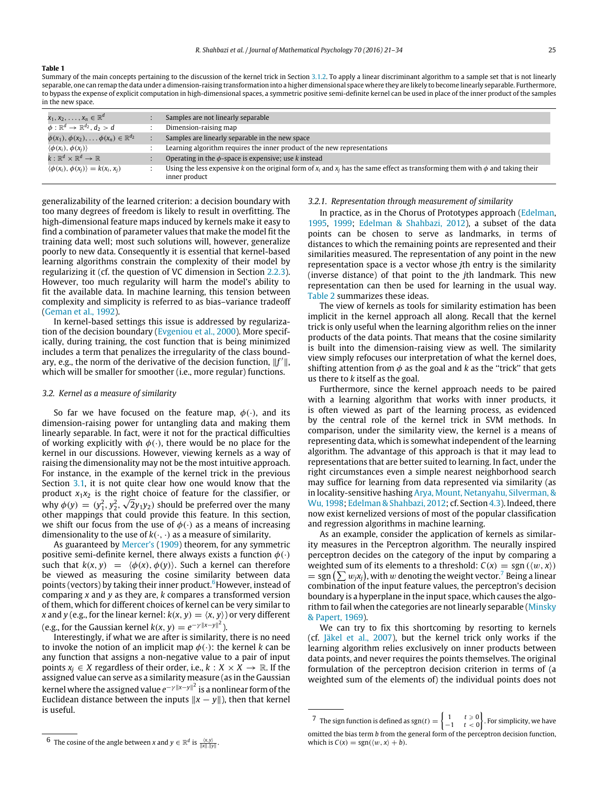<span id="page-4-0"></span>**Table 1**

Summary of the main concepts pertaining to the discussion of the kernel trick in Section [3.1.2.](#page-3-0) To apply a linear discriminant algorithm to a sample set that is not linearly separable, one can remap the data under a dimension-raising transformation into a higher dimensional space where they are likely to become linearly separable. Furthermore, to bypass the expense of explicit computation in high-dimensional spaces, a symmetric positive semi-definite kernel can be used in place of the inner product of the samples in the new space.

| $x_1, x_2, \ldots, x_n \in \mathbb{R}^d$                       | Samples are not linearly separable                                                                                                                        |
|----------------------------------------------------------------|-----------------------------------------------------------------------------------------------------------------------------------------------------------|
| $\phi: \mathbb{R}^d \to \mathbb{R}^{d_2}, d_2 > d$             | Dimension-raising map                                                                                                                                     |
| $\phi(x_1), \phi(x_2), \ldots, \phi(x_n) \in \mathbb{R}^{d_2}$ | Samples are linearly separable in the new space                                                                                                           |
| $\langle \phi(x_i), \phi(x_i) \rangle$                         | Learning algorithm requires the inner product of the new representations                                                                                  |
| $k: \mathbb{R}^d \times \mathbb{R}^d \rightarrow \mathbb{R}$   | Operating in the $\phi$ -space is expensive; use k instead                                                                                                |
| $\langle \phi(x_i), \phi(x_i) \rangle = k(x_i, x_i)$           | Using the less expensive k on the original form of $x_i$ and $x_j$ has the same effect as transforming them with $\phi$ and taking their<br>inner product |

generalizability of the learned criterion: a decision boundary with too many degrees of freedom is likely to result in overfitting. The high-dimensional feature maps induced by kernels make it easy to find a combination of parameter values that make the model fit the training data well; most such solutions will, however, generalize poorly to new data. Consequently it is essential that kernel-based learning algorithms constrain the complexity of their model by regularizing it (cf. the question of VC dimension in Section [2.2.3\)](#page-2-1). However, too much regularity will harm the model's ability to fit the available data. In machine learning, this tension between complexity and simplicity is referred to as bias–variance tradeoff [\(Geman](#page-12-19) [et al.,](#page-12-19) [1992\)](#page-12-19).

In kernel-based settings this issue is addressed by regularization of the decision boundary [\(Evgeniou](#page-12-26) [et al.,](#page-12-26) [2000\)](#page-12-26). More specifically, during training, the cost function that is being minimized includes a term that penalizes the irregularity of the class boundary, e.g., the norm of the derivative of the decision function, ∥*f* ′∥, which will be smaller for smoother (i.e., more regular) functions.

## <span id="page-4-3"></span>*3.2. Kernel as a measure of similarity*

So far we have focused on the feature map,  $\phi(\cdot)$ , and its dimension-raising power for untangling data and making them linearly separable. In fact, were it not for the practical difficulties of working explicitly with  $\phi(\cdot)$ , there would be no place for the kernel in our discussions. However, viewing kernels as a way of raising the dimensionality may not be the most intuitive approach. For instance, in the example of the kernel trick in the previous Section [3.1,](#page-2-2) it is not quite clear how one would know that the product  $x_1x_2$  is the right choice of feature for the classifier, or why  $\phi(y) = (y_1^2, y_2^2, \sqrt{2}y_1y_2)$  should be preferred over the many other mappings that could provide this feature. In this section, we shift our focus from the use of  $\phi(\cdot)$  as a means of increasing dimensionality to the use of  $k(\cdot, \cdot)$  as a measure of similarity.

As guaranteed by [Mercer's](#page-12-29) [\(1909\)](#page-12-29) theorem, for any symmetric positive semi-definite kernel, there always exists a function  $\phi(\cdot)$ such that  $k(x, y) = \langle \phi(x), \phi(y) \rangle$ . Such a kernel can therefore be viewed as measuring the cosine similarity between data points (vectors) by taking their inner product. However, instead of comparing *x* and *y* as they are, *k* compares a transformed version of them, which for different choices of kernel can be very similar to *x* and *y* (e.g., for the linear kernel:  $k(x, y) = \langle x, y \rangle$ ) or very different (e.g., for the Gaussian kernel  $k(x, y) = e^{-\gamma ||x - y||^2}$ ).

Interestingly, if what we are after is similarity, there is no need to invoke the notion of an implicit map  $\phi(\cdot)$ : the kernel *k* can be any function that assigns a non-negative value to a pair of input points  $x_i \in X$  regardless of their order, i.e.,  $k : X \times X \to \mathbb{R}$ . If the assigned value can serve as a similarity measure (as in the Gaussian kernel where the assigned value  $e^{-\gamma\, \|x-y\|^2}$  is a nonlinear form of the Euclidean distance between the inputs  $||x - y||$ ), then that kernel is useful.

## *3.2.1. Representation through measurement of similarity*

In practice, as in the Chorus of Prototypes approach [\(Edelman,](#page-12-31) [1995,](#page-12-31) [1999;](#page-12-31) [Edelman](#page-12-32) [&](#page-12-32) [Shahbazi,](#page-12-32) [2012\)](#page-12-32), a subset of the data points can be chosen to serve as landmarks, in terms of distances to which the remaining points are represented and their similarities measured. The representation of any point in the new representation space is a vector whose *j*th entry is the similarity (inverse distance) of that point to the *j*th landmark. This new representation can then be used for learning in the usual way. [Table 2](#page-5-1) summarizes these ideas.

The view of kernels as tools for similarity estimation has been implicit in the kernel approach all along. Recall that the kernel trick is only useful when the learning algorithm relies on the inner products of the data points. That means that the cosine similarity is built into the dimension-raising view as well. The similarity view simply refocuses our interpretation of what the kernel does, shifting attention from  $\phi$  as the goal and *k* as the "trick" that gets us there to *k* itself as the goal.

Furthermore, since the kernel approach needs to be paired with a learning algorithm that works with inner products, it is often viewed as part of the learning process, as evidenced by the central role of the kernel trick in SVM methods. In comparison, under the similarity view, the kernel is a means of representing data, which is somewhat independent of the learning algorithm. The advantage of this approach is that it may lead to representations that are better suited to learning. In fact, under the right circumstances even a simple nearest neighborhood search may suffice for learning from data represented via similarity (as in locality-sensitive hashing [Arya,](#page-11-11) [Mount,](#page-11-11) [Netanyahu,](#page-11-11) [Silverman,](#page-11-11) [&](#page-11-11) [Wu,](#page-11-11) [1998;](#page-11-11) [Edelman&Shahbazi,](#page-12-6) [2012;](#page-12-6) cf. Section [4.3\)](#page-8-1). Indeed, there now exist kernelized versions of most of the popular classification and regression algorithms in machine learning.

As an example, consider the application of kernels as similarity measures in the Perceptron algorithm. The neurally inspired perceptron decides on the category of the input by comparing a weighted sum of its elements to a threshold:  $C(x) = \text{sgn}(\langle w, x \rangle)$  $\mathcal{L} = \text{sgn} \left( \sum w_j x_j \right)$ , with  $w$  denoting the weight vector.<sup>[7](#page-4-2)</sup> Being a linear combination of the input feature values, the perceptron's decision boundary is a hyperplane in the input space, which causes the algorithm to fail when the categories are not linearly separable [\(Minsky](#page-12-33) [&](#page-12-33) [Papert,](#page-12-33) [1969\)](#page-12-33).

We can try to fix this shortcoming by resorting to kernels (cf. [Jäkel](#page-12-27) [et al.,](#page-12-27) [2007\)](#page-12-27), but the kernel trick only works if the learning algorithm relies exclusively on inner products between data points, and never requires the points themselves. The original formulation of the perceptron decision criterion in terms of (a weighted sum of the elements of) the individual points does not

<span id="page-4-2"></span><sup>7</sup> The sign function is defined as  $sgn(t) = \begin{cases} 1 & t \ge 0 \\ -1 & t < 0 \end{cases}$  $\left\{ \right\}$ . For simplicity, we have omitted the bias term *b* from the general form of the perceptron decision function, which is  $C(x) = sgn(\langle w, x \rangle + b)$ .

<span id="page-4-1"></span><sup>6</sup> The cosine of the angle between *x* and  $y \in \mathbb{R}^d$  is  $\frac{\langle x, y \rangle}{\|x\| \cdot \|y\|}$ .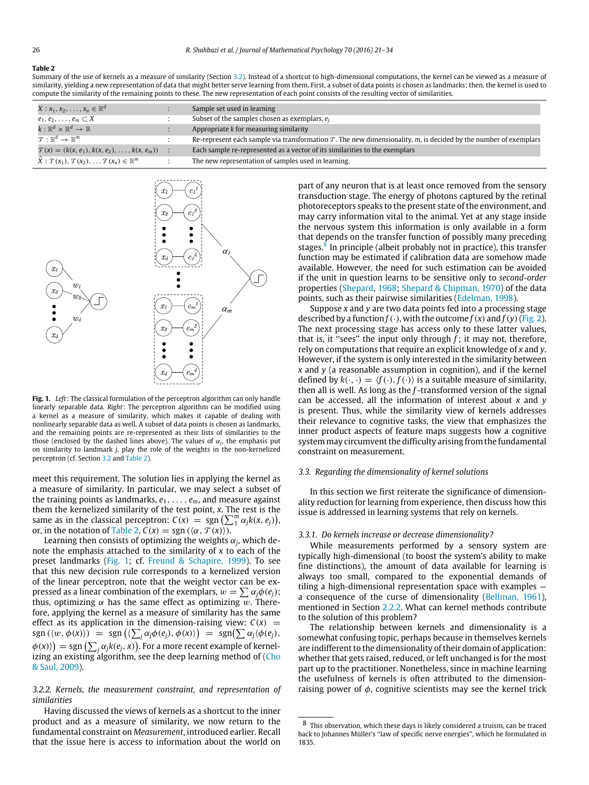#### <span id="page-5-1"></span>**Table 2**

Summary of the use of kernels as a measure of similarity (Section [3.2\)](#page-4-3). Instead of a shortcut to high-dimensional computations, the kernel can be viewed as a measure of similarity, yielding a new representation of data that might better serve learning from them. First, a subset of data points is chosen as landmarks; then, the kernel is used to compute the similarity of the remaining points to these. The new representation of each point consists of the resulting vector of similarities.

| $X: x_1, x_2, \ldots, x_n \in \mathbb{R}^d$                                        | Sample set used in learning                                                                                                 |
|------------------------------------------------------------------------------------|-----------------------------------------------------------------------------------------------------------------------------|
| $e_1, e_2, \ldots, e_m \subset X$                                                  | Subset of the samples chosen as exemplars, $e_i$                                                                            |
| $k\cdot\mathbb{R}^d\times\mathbb{R}^d\to\mathbb{R}$                                | Appropriate k for measuring similarity                                                                                      |
| $\tau \cdot \mathbb{R}^d \to \mathbb{R}^m$                                         | Re-represent each sample via transformation $\mathcal T$ . The new dimensionality, m, is decided by the number of exemplars |
| $\mathcal{T}(x) = (k(x, e_1), k(x, e_2), \dots, k(x, e_m))$ :                      | Each sample re-represented as a vector of its similarities to the exemplars                                                 |
| $X: \mathcal{T}(x_1), \mathcal{T}(x_2), \ldots, \mathcal{T}(x_n) \in \mathbb{R}^m$ | The new representation of samples used in learning.                                                                         |

<span id="page-5-2"></span>

**Fig. 1.** *Left*: The classical formulation of the perceptron algorithm can only handle linearly separable data. *Right*: The perceptron algorithm can be modified using a kernel as a measure of similarity, which makes it capable of dealing with nonlinearly separable data as well. A subset of data points is chosen as landmarks, and the remaining points are re-represented as their lists of similarities to the those (enclosed by the dashed lines above). The values of α*<sup>j</sup>* , the emphasis put on similarity to landmark *j*, play the role of the weights in the non-kernelized perceptron (cf. Section [3.2](#page-4-3) and [Table 2\)](#page-5-1).

meet this requirement. The solution lies in applying the kernel as a measure of similarity. In particular, we may select a subset of the training points as landmarks, *e*1, . . . , *em*, and measure against them the kernelized similarity of the test point, *x*. The rest is the same as in the classical perceptron:  $C(x) = \text{sgn} \left( \sum_{1}^{m} \alpha_{j} k(x, e_{j}) \right)$ , or, in the notation of [Table 2,](#page-5-1)  $C(x) = \text{sgn}(\langle \alpha, \mathcal{T}(x) \rangle).$ 

Learning then consists of optimizing the weights  $\alpha_j$ , which denote the emphasis attached to the similarity of *x* to each of the preset landmarks [\(Fig. 1;](#page-5-2) cf. [Freund](#page-12-34) [&](#page-12-34) [Schapire,](#page-12-34) [1999\)](#page-12-34). To see that this new decision rule corresponds to a kernelized version of the linear perceptron, note that the weight vector can be expressed as a linear combination of the exemplars,  $w=\sum \alpha_j \phi(e_j);$ thus, optimizing  $\alpha$  has the same effect as optimizing w. Therefore, applying the kernel as a measure of similarity has the same effect as its application in the dimension-raising view:  $C(x)$  =  $\text{sgn}\left(\langle w, \phi(x) \rangle\right) = \text{sgn}\left(\langle \sum_j \alpha_j \phi(e_j), \phi(x) \rangle\right) = \text{sgn}\left(\sum \alpha_j \langle \phi(e_j), \phi(x) \rangle\right)$  $\phi(x)\rangle\big)=\text{sgn}\left(\sum_j\alpha_jk(e_j,x)\right)$ . For a more recent example of kernel-izing an existing algorithm, see the deep learning method of [\(Cho](#page-11-12) [&](#page-11-12) [Saul,](#page-11-12) [2009\)](#page-11-12).

<span id="page-5-4"></span>*3.2.2. Kernels, the measurement constraint, and representation of similarities*

Having discussed the views of kernels as a shortcut to the inner product and as a measure of similarity, we now return to the fundamental constraint on *Measurement*, introduced earlier. Recall that the issue here is access to information about the world on part of any neuron that is at least once removed from the sensory transduction stage. The energy of photons captured by the retinal photoreceptors speaks to the present state of the environment, and may carry information vital to the animal. Yet at any stage inside the nervous system this information is only available in a form that depends on the transfer function of possibly many preceding stages.<sup>[8](#page-5-3)</sup> In principle (albeit probably not in practice), this transfer function may be estimated if calibration data are somehow made available. However, the need for such estimation can be avoided if the unit in question learns to be sensitive only to *second-order* properties [\(Shepard,](#page-12-35) [1968;](#page-12-35) [Shepard](#page-12-36) [&](#page-12-36) [Chipman,](#page-12-36) [1970\)](#page-12-36) of the data points, such as their pairwise similarities [\(Edelman,](#page-12-3) [1998\)](#page-12-3).

Suppose *x* and *y* are two data points fed into a processing stage described by a function  $f(\cdot)$ , with the outcome  $f(x)$  and  $f(y)$  [\(Fig. 2\)](#page-6-0). The next processing stage has access only to these latter values, that is, it "sees" the input only through  $f$ ; it may not, therefore, rely on computations that require an explicit knowledge of *x* and *y*. However, if the system is only interested in the similarity between *x* and *y* (a reasonable assumption in cognition), and if the kernel defined by  $k(\cdot, \cdot) = \langle f(\cdot), f(\cdot) \rangle$  is a suitable measure of similarity, then all is well. As long as the *f* -transformed version of the signal can be accessed, all the information of interest about *x* and *y* is present. Thus, while the similarity view of kernels addresses their relevance to cognitive tasks, the view that emphasizes the inner product aspects of feature maps suggests how a cognitive system may circumvent the difficulty arising from the fundamental constraint on measurement.

### <span id="page-5-0"></span>*3.3. Regarding the dimensionality of kernel solutions*

In this section we first reiterate the significance of dimensionality reduction for learning from experience, then discuss how this issue is addressed in learning systems that rely on kernels.

#### <span id="page-5-5"></span>*3.3.1. Do kernels increase or decrease dimensionality?*

While measurements performed by a sensory system are typically high-dimensional (to boost the system's ability to make fine distinctions), the amount of data available for learning is always too small, compared to the exponential demands of tiling a high-dimensional representation space with examples a consequence of the curse of dimensionality [\(Bellman,](#page-11-1) [1961\)](#page-11-1), mentioned in Section [2.2.2.](#page-2-3) What can kernel methods contribute to the solution of this problem?

The relationship between kernels and dimensionality is a somewhat confusing topic, perhaps because in themselves kernels are indifferent to the dimensionality of their domain of application: whether that gets raised, reduced, or left unchanged is for the most part up to the practitioner. Nonetheless, since in machine learning the usefulness of kernels is often attributed to the dimensionraising power of  $\phi$ , cognitive scientists may see the kernel trick

<span id="page-5-3"></span><sup>8</sup> This observation, which these days is likely considered a truism, can be traced back to Johannes Müller's ''law of specific nerve energies'', which he formulated in 1835.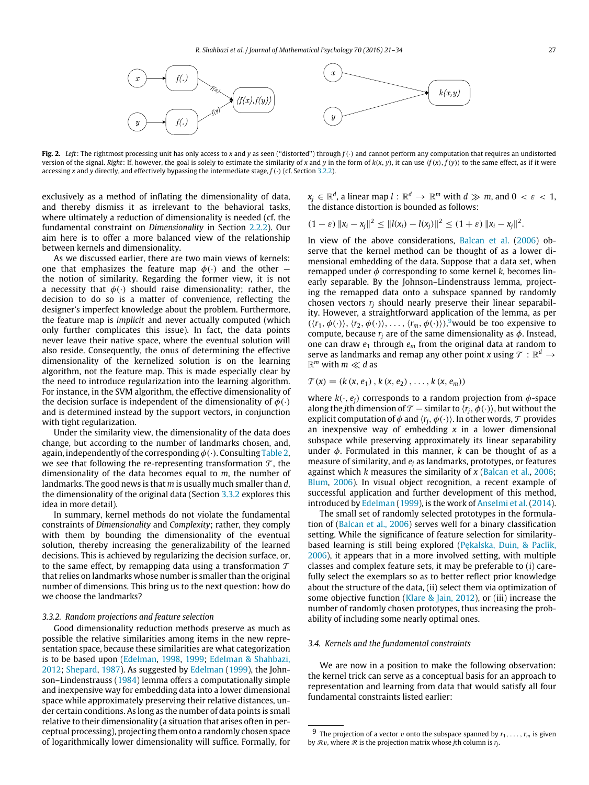<span id="page-6-0"></span>

Fig. 2. Left: The rightmost processing unit has only access to *x* and *y* as seen ("distorted") through *f*(·) and cannot perform any computation that requires an undistorted version of the signal. Right: If, however, the goal is solely to estimate the similarity of x and y in the form of  $k(x, y)$ , it can use  $\langle f(x), f(y) \rangle$  to the same effect, as if it were accessing *x* and *y* directly, and effectively bypassing the intermediate stage, *f*(·) (cf. Section [3.2.2\)](#page-5-4).

exclusively as a method of inflating the dimensionality of data, and thereby dismiss it as irrelevant to the behavioral tasks, where ultimately a reduction of dimensionality is needed (cf. the fundamental constraint on *Dimensionality* in Section [2.2.2\)](#page-2-3). Our aim here is to offer a more balanced view of the relationship between kernels and dimensionality.

As we discussed earlier, there are two main views of kernels: one that emphasizes the feature map  $\phi(\cdot)$  and the other – the notion of similarity. Regarding the former view, it is not a necessity that  $\phi(\cdot)$  should raise dimensionality; rather, the decision to do so is a matter of convenience, reflecting the designer's imperfect knowledge about the problem. Furthermore, the feature map is *implicit* and never actually computed (which only further complicates this issue). In fact, the data points never leave their native space, where the eventual solution will also reside. Consequently, the onus of determining the effective dimensionality of the kernelized solution is on the learning algorithm, not the feature map. This is made especially clear by the need to introduce regularization into the learning algorithm. For instance, in the SVM algorithm, the effective dimensionality of the decision surface is independent of the dimensionality of  $\phi(\cdot)$ and is determined instead by the support vectors, in conjunction with tight regularization.

Under the similarity view, the dimensionality of the data does change, but according to the number of landmarks chosen, and, again, independently of the corresponding  $\phi(\cdot)$ . Consulting [Table 2,](#page-5-1) we see that following the re-representing transformation  $\mathcal{T}$ , the dimensionality of the data becomes equal to *m*, the number of landmarks. The good news is that *m* is usually much smaller than *d*, the dimensionality of the original data (Section [3.3.2](#page-6-1) explores this idea in more detail).

In summary, kernel methods do not violate the fundamental constraints of *Dimensionality* and *Complexity*; rather, they comply with them by bounding the dimensionality of the eventual solution, thereby increasing the generalizability of the learned decisions. This is achieved by regularizing the decision surface, or, to the same effect, by remapping data using a transformation  $\mathcal T$ that relies on landmarks whose number is smaller than the original number of dimensions. This bring us to the next question: how do we choose the landmarks?

#### <span id="page-6-1"></span>*3.3.2. Random projections and feature selection*

Good dimensionality reduction methods preserve as much as possible the relative similarities among items in the new representation space, because these similarities are what categorization is to be based upon [\(Edelman,](#page-12-3) [1998,](#page-12-3) [1999;](#page-12-3) [Edelman](#page-12-32) [&](#page-12-32) [Shahbazi,](#page-12-32) [2012;](#page-12-32) [Shepard,](#page-12-6) [1987\)](#page-12-6). As suggested by [Edelman](#page-12-32) [\(1999\)](#page-12-32), the Johnson–Lindenstrauss [\(1984\)](#page-12-37) lemma offers a computationally simple and inexpensive way for embedding data into a lower dimensional space while approximately preserving their relative distances, under certain conditions. As long as the number of data points is small relative to their dimensionality (a situation that arises often in perceptual processing), projecting them onto a randomly chosen space of logarithmically lower dimensionality will suffice. Formally, for

 $x_j \in \mathbb{R}^d$ , a linear map  $l : \mathbb{R}^d \to \mathbb{R}^m$  with  $d \gg m$ , and  $0 < \varepsilon < 1$ , the distance distortion is bounded as follows:

$$
(1-\varepsilon) \|x_i - x_j\|^2 \le \|l(x_i) - l(x_j)\|^2 \le (1+\varepsilon) \|x_i - x_j\|^2.
$$

In view of the above considerations, [Balcan](#page-11-7) [et al.](#page-11-7) [\(2006\)](#page-11-7) observe that the kernel method can be thought of as a lower dimensional embedding of the data. Suppose that a data set, when remapped under  $\phi$  corresponding to some kernel *k*, becomes linearly separable. By the Johnson–Lindenstrauss lemma, projecting the remapped data onto a subspace spanned by randomly chosen vectors *r<sup>j</sup>* should nearly preserve their linear separability. However, a straightforward application of the lemma, as per  $(\langle r_1, \phi(\cdot) \rangle, \langle r_2, \phi(\cdot) \rangle, \ldots, \langle r_m, \phi(\cdot) \rangle)$ ,<sup>[9](#page-6-2)</sup>would be too expensive to compute, because  $r_i$  are of the same dimensionality as  $\phi$ . Instead, one can draw  $e_1$  through  $e_m$  from the original data at random to serve as landmarks and remap any other point *x* using  $\mathcal{T}: \mathbb{R}^d \to$ R *<sup>m</sup>* with *m* ≪ *d* as

$$
\mathcal{T}(x) = (k(x, e_1), k(x, e_2), \ldots, k(x, e_m))
$$

where  $k(\cdot, e_i)$  corresponds to a random projection from  $\phi$ -space along the *j*th dimension of  $\mathcal{T}$  – similar to  $\langle r_i, \phi(\cdot) \rangle$ , but without the explicit computation of  $\phi$  and  $\langle r_i, \phi(\cdot) \rangle$ . In other words,  $\mathcal T$  provides an inexpensive way of embedding *x* in a lower dimensional subspace while preserving approximately its linear separability under  $\phi$ . Formulated in this manner, *k* can be thought of as a measure of similarity, and *e<sup>j</sup>* as landmarks, prototypes, or features against which *k* measures the similarity of *x* [\(Balcan](#page-11-7) [et al.,](#page-11-7) [2006;](#page-11-7) [Blum,](#page-11-13) [2006\)](#page-11-13). In visual object recognition, a recent example of successful application and further development of this method, introduced by [Edelman](#page-12-32) [\(1999\)](#page-12-32), is the work of [Anselmi](#page-11-14) [et al.](#page-11-14) [\(2014\)](#page-11-14).

The small set of randomly selected prototypes in the formulation of [\(Balcan](#page-11-7) [et al.,](#page-11-7) [2006\)](#page-11-7) serves well for a binary classification setting. While the significance of feature selection for similaritybased learning is still being explored [\(Pękalska,](#page-12-38) [Duin,](#page-12-38) [&](#page-12-38) [Paclík,](#page-12-38) [2006\)](#page-12-38), it appears that in a more involved setting, with multiple classes and complex feature sets, it may be preferable to (i) carefully select the exemplars so as to better reflect prior knowledge about the structure of the data, (ii) select them via optimization of some objective function [\(Klare](#page-12-39) [&](#page-12-39) [Jain,](#page-12-39) [2012\)](#page-12-39), or (iii) increase the number of randomly chosen prototypes, thus increasing the probability of including some nearly optimal ones.

#### *3.4. Kernels and the fundamental constraints*

We are now in a position to make the following observation: the kernel trick can serve as a conceptual basis for an approach to representation and learning from data that would satisfy all four fundamental constraints listed earlier:

<span id="page-6-2"></span><sup>&</sup>lt;sup>9</sup> The projection of a vector *v* onto the subspace spanned by  $r_1, \ldots, r_m$  is given by  $\mathcal{R}v$ , where  $\mathcal R$  is the projection matrix whose *j*th column is  $r_j$ .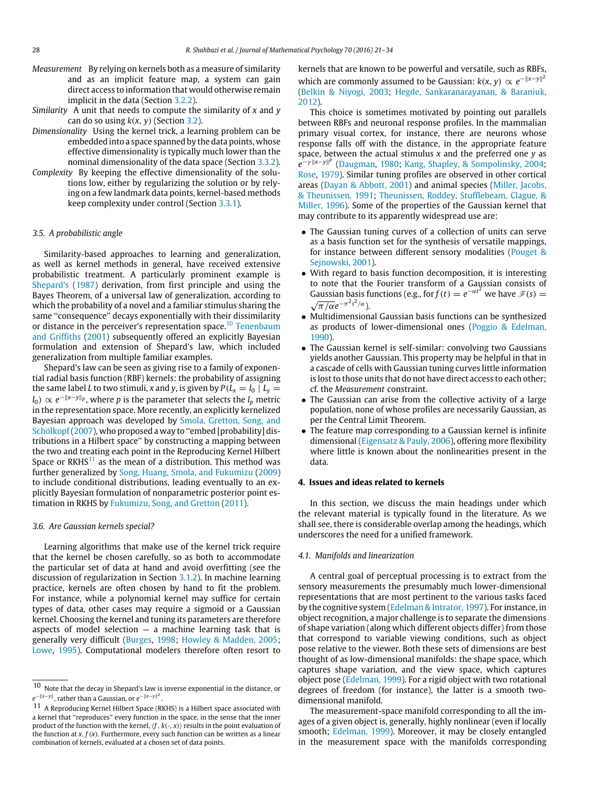- *Measurement* By relying on kernels both as a measure of similarity and as an implicit feature map, a system can gain direct access to information that would otherwise remain implicit in the data (Section [3.2.2\)](#page-5-4).
- *Similarity* A unit that needs to compute the similarity of *x* and *y* can do so using  $k(x, y)$  (Section [3.2\)](#page-4-3).
- *Dimensionality* Using the kernel trick, a learning problem can be embedded into a space spanned by the data points, whose effective dimensionality is typically much lower than the nominal dimensionality of the data space (Section [3.3.2\)](#page-6-1).
- *Complexity* By keeping the effective dimensionality of the solutions low, either by regularizing the solution or by relying on a few landmark data points, kernel-based methods keep complexity under control (Section [3.3.1\)](#page-5-5).

## <span id="page-7-4"></span>*3.5. A probabilistic angle*

Similarity-based approaches to learning and generalization, as well as kernel methods in general, have received extensive probabilistic treatment. A particularly prominent example is [Shepard's](#page-12-2) [\(1987\)](#page-12-2) derivation, from first principle and using the Bayes Theorem, of a universal law of generalization, according to which the probability of a novel and a familiar stimulus sharing the same "consequence" decays exponentially with their dissimilarity or distance in the perceiver's representation space.<sup>[10](#page-7-1)</sup> [Tenenbaum](#page-13-1) [and](#page-13-1) [Griffiths](#page-13-1) [\(2001\)](#page-13-1) subsequently offered an explicitly Bayesian formulation and extension of Shepard's law, which included generalization from multiple familiar examples.

Shepard's law can be seen as giving rise to a family of exponential radial basis function (RBF) kernels: the probability of assigning the same label *L* to two stimuli, *x* and *y*, is given by  $P(L_x = l_0 \mid L_y =$  $l_0$ )  $\propto e^{-\|x-y\|_p}$ , where *p* is the parameter that selects the  $l_p$  metric in the representation space. More recently, an explicitly kernelized Bayesian approach was developed by [Smola,](#page-12-40) [Gretton,](#page-12-40) [Song,](#page-12-40) [and](#page-12-40) Schölkopf (2007), who proposed a way to "embed [probability] distributions in a Hilbert space'' by constructing a mapping between the two and treating each point in the Reproducing Kernel Hilbert Space or  $RKHS<sup>11</sup>$  $RKHS<sup>11</sup>$  $RKHS<sup>11</sup>$  as the mean of a distribution. This method was further generalized by [Song,](#page-13-5) [Huang,](#page-13-5) [Smola,](#page-13-5) [and](#page-13-5) [Fukumizu](#page-13-5) [\(2009\)](#page-13-5) to include conditional distributions, leading eventually to an explicitly Bayesian formulation of nonparametric posterior point estimation in RKHS by [Fukumizu,](#page-12-41) [Song,](#page-12-41) [and](#page-12-41) [Gretton](#page-12-41) [\(2011\)](#page-12-41).

### <span id="page-7-3"></span>*3.6. Are Gaussian kernels special?*

Learning algorithms that make use of the kernel trick require that the kernel be chosen carefully, so as both to accommodate the particular set of data at hand and avoid overfitting (see the discussion of regularization in Section [3.1.2\)](#page-3-0). In machine learning practice, kernels are often chosen by hand to fit the problem. For instance, while a polynomial kernel may suffice for certain types of data, other cases may require a sigmoid or a Gaussian kernel. Choosing the kernel and tuning its parameters are therefore aspects of model selection  $-$  a machine learning task that is generally very difficult [\(Burges,](#page-11-15) [1998;](#page-11-15) [Howley](#page-12-42) [&](#page-12-42) [Madden,](#page-12-42) [2005;](#page-12-42) [Lowe,](#page-12-43) [1995\)](#page-12-43). Computational modelers therefore often resort to

kernels that are known to be powerful and versatile, such as RBFs, which are commonly assumed to be Gaussian:  $k(x, y) \propto e^{-\|x-y\|^2}$ [\(Belkin](#page-11-16) [&](#page-11-16) [Niyogi,](#page-11-16) [2003;](#page-11-16) [Hegde,](#page-12-44) [Sankaranarayanan,](#page-12-44) [&](#page-12-44) [Baraniuk,](#page-12-44) [2012\)](#page-12-44).

This choice is sometimes motivated by pointing out parallels between RBFs and neuronal response profiles. In the mammalian primary visual cortex, for instance, there are neurons whose response falls off with the distance, in the appropriate feature space, between the actual stimulus *x* and the preferred one *y* as *e* −γ ∥*x*−*y*∥ *p* [\(Daugman,](#page-12-45) [1980;](#page-12-45) [Kang,](#page-12-46) [Shapley,](#page-12-46) [&](#page-12-46) [Sompolinsky,](#page-12-46) [2004;](#page-12-46) [Rose,](#page-12-47) [1979\)](#page-12-47). Similar tuning profiles are observed in other cortical areas [\(Dayan](#page-12-48) [&](#page-12-48) [Abbott,](#page-12-48) [2001\)](#page-12-48) and animal species [\(Miller,](#page-12-49) [Jacobs,](#page-12-49) [&](#page-12-49) [Theunissen,](#page-12-49) [1991;](#page-12-49) [Theunissen,](#page-13-6) [Roddey,](#page-13-6) [Stufflebeam,](#page-13-6) [Clague,](#page-13-6) [&](#page-13-6) [Miller,](#page-13-6) [1996\)](#page-13-6). Some of the properties of the Gaussian kernel that may contribute to its apparently widespread use are:

- The Gaussian tuning curves of a collection of units can serve as a basis function set for the synthesis of versatile mappings, for instance between different sensory modalities [\(Pouget](#page-12-50) [&](#page-12-50) [Sejnowski,](#page-12-50) [2001\)](#page-12-50).
- With regard to basis function decomposition, it is interesting to note that the Fourier transform of a Gaussian consists of Gaussian basis functions (e.g., for  $f(t) = e^{-\alpha t^2}$  we have  $\mathcal{F}(s) =$  $\pi/\alpha e^{-\pi^2 s^2/\alpha}$ ).
- Multidimensional Gaussian basis functions can be synthesized as products of lower-dimensional ones [\(Poggio](#page-12-51) [&](#page-12-51) [Edelman,](#page-12-51) [1990\)](#page-12-51).
- The Gaussian kernel is self-similar: convolving two Gaussians yields another Gaussian. This property may be helpful in that in a cascade of cells with Gaussian tuning curves little information is lost to those units that do not have direct access to each other; cf. the *Measurement* constraint.
- The Gaussian can arise from the collective activity of a large population, none of whose profiles are necessarily Gaussian, as per the Central Limit Theorem.
- The feature map corresponding to a Gaussian kernel is infinite dimensional [\(Eigensatz](#page-12-30) [&](#page-12-30) [Pauly,](#page-12-30) [2006\)](#page-12-30), offering more flexibility where little is known about the nonlinearities present in the data.

## <span id="page-7-0"></span>**4. Issues and ideas related to kernels**

In this section, we discuss the main headings under which the relevant material is typically found in the literature. As we shall see, there is considerable overlap among the headings, which underscores the need for a unified framework.

## *4.1. Manifolds and linearization*

A central goal of perceptual processing is to extract from the sensory measurements the presumably much lower-dimensional representations that are most pertinent to the various tasks faced by the cognitive system [\(Edelman](#page-12-10) [&](#page-12-10) [Intrator,](#page-12-10) [1997\)](#page-12-10). For instance, in object recognition, a major challenge is to separate the dimensions of shape variation (along which different objects differ) from those that correspond to variable viewing conditions, such as object pose relative to the viewer. Both these sets of dimensions are best thought of as low-dimensional manifolds: the shape space, which captures shape variation, and the view space, which captures object pose [\(Edelman,](#page-12-32) [1999\)](#page-12-32). For a rigid object with two rotational degrees of freedom (for instance), the latter is a smooth twodimensional manifold.

The measurement-space manifold corresponding to all the images of a given object is, generally, highly nonlinear (even if locally smooth; [Edelman,](#page-12-32) [1999\)](#page-12-32). Moreover, it may be closely entangled in the measurement space with the manifolds corresponding

<span id="page-7-1"></span> $10\,$  Note that the decay in Shepard's law is inverse exponential in the distance, or *e* −∥*x*−*y*∥ , rather than a Gaussian, or *e* −∥*x*−*y*∥ 2 .

<span id="page-7-2"></span><sup>&</sup>lt;sup>11</sup> A Reproducing Kernel Hilbert Space (RKHS) is a Hilbert space associated with a kernel that ''reproduces'' every function in the space, in the sense that the inner product of the function with the kernel,  $\langle f, k(\cdot, x) \rangle$  results in the point evaluation of the function at  $x, f(x)$ . Furthermore, every such function can be written as a linear combination of kernels, evaluated at a chosen set of data points.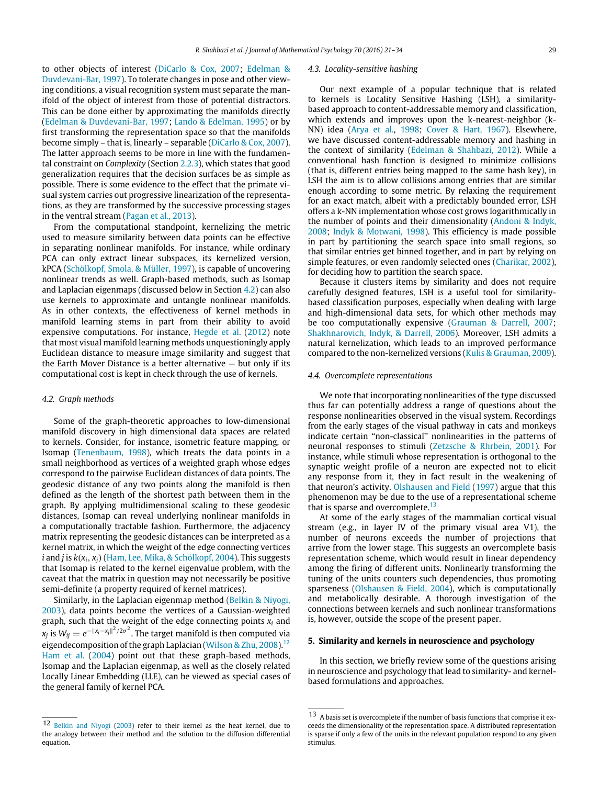to other objects of interest [\(DiCarlo](#page-12-52) [&](#page-12-52) [Cox,](#page-12-52) [2007;](#page-12-52) [Edelman](#page-12-53) [&](#page-12-53) [Duvdevani-Bar,](#page-12-53) [1997\)](#page-12-53). To tolerate changes in pose and other viewing conditions, a visual recognition system must separate the manifold of the object of interest from those of potential distractors. This can be done either by approximating the manifolds directly [\(Edelman](#page-12-53) [&](#page-12-53) [Duvdevani-Bar,](#page-12-53) [1997;](#page-12-53) [Lando](#page-12-54) [&](#page-12-54) [Edelman,](#page-12-54) [1995\)](#page-12-54) or by first transforming the representation space so that the manifolds become simply – that is, linearly – separable [\(DiCarlo](#page-12-52) [&](#page-12-52) [Cox,](#page-12-52) [2007\)](#page-12-52). The latter approach seems to be more in line with the fundamental constraint on *Complexity* (Section [2.2.3\)](#page-2-1), which states that good generalization requires that the decision surfaces be as simple as possible. There is some evidence to the effect that the primate visual system carries out progressive linearization of the representations, as they are transformed by the successive processing stages in the ventral stream [\(Pagan](#page-12-15) [et al.,](#page-12-15) [2013\)](#page-12-15).

From the computational standpoint, kernelizing the metric used to measure similarity between data points can be effective in separating nonlinear manifolds. For instance, while ordinary PCA can only extract linear subspaces, its kernelized version, kPCA [\(Schölkopf,](#page-12-55) [Smola,](#page-12-55) [&](#page-12-55) [Müller,](#page-12-55) [1997\)](#page-12-55), is capable of uncovering nonlinear trends as well. Graph-based methods, such as Isomap and Laplacian eigenmaps (discussed below in Section [4.2\)](#page-8-2) can also use kernels to approximate and untangle nonlinear manifolds. As in other contexts, the effectiveness of kernel methods in manifold learning stems in part from their ability to avoid expensive computations. For instance, [Hegde](#page-12-44) [et al.](#page-12-44) [\(2012\)](#page-12-44) note that most visual manifold learning methods unquestioningly apply Euclidean distance to measure image similarity and suggest that the Earth Mover Distance is a better alternative — but only if its computational cost is kept in check through the use of kernels.

#### <span id="page-8-2"></span>*4.2. Graph methods*

Some of the graph-theoretic approaches to low-dimensional manifold discovery in high dimensional data spaces are related to kernels. Consider, for instance, isometric feature mapping, or Isomap [\(Tenenbaum,](#page-13-7) [1998\)](#page-13-7), which treats the data points in a small neighborhood as vertices of a weighted graph whose edges correspond to the pairwise Euclidean distances of data points. The geodesic distance of any two points along the manifold is then defined as the length of the shortest path between them in the graph. By applying multidimensional scaling to these geodesic distances, Isomap can reveal underlying nonlinear manifolds in a computationally tractable fashion. Furthermore, the adjacency matrix representing the geodesic distances can be interpreted as a kernel matrix, in which the weight of the edge connecting vertices *i* and *j* is *k*(*xi*, *xj*)[\(Ham,](#page-12-56) [Lee,](#page-12-56) [Mika,](#page-12-56) [&](#page-12-56) [Schölkopf,](#page-12-56) [2004\)](#page-12-56). This suggests that Isomap is related to the kernel eigenvalue problem, with the caveat that the matrix in question may not necessarily be positive semi-definite (a property required of kernel matrices).

Similarly, in the Laplacian eigenmap method [\(Belkin](#page-11-16) [&](#page-11-16) [Niyogi,](#page-11-16) [2003\)](#page-11-16), data points become the vertices of a Gaussian-weighted graph, such that the weight of the edge connecting points *x<sup>i</sup>* and  $x_j$  is  $W_{ij} = e^{-\|x_i - x_j\|^2/2\sigma^2}.$  The target manifold is then computed via eigendecomposition of the graph Laplacian [\(Wilson](#page-13-8) [&](#page-13-8) [Zhu,](#page-13-8) [2008\)](#page-13-8).[12](#page-8-3) [Ham](#page-12-56) [et al.](#page-12-56) [\(2004\)](#page-12-56) point out that these graph-based methods, Isomap and the Laplacian eigenmap, as well as the closely related Locally Linear Embedding (LLE), can be viewed as special cases of the general family of kernel PCA.

## <span id="page-8-1"></span>*4.3. Locality-sensitive hashing*

Our next example of a popular technique that is related to kernels is Locality Sensitive Hashing (LSH), a similaritybased approach to content-addressable memory and classification, which extends and improves upon the k-nearest-neighbor (k-NN) idea [\(Arya](#page-11-11) [et al.,](#page-11-11) [1998;](#page-11-11) [Cover](#page-12-22) [&](#page-12-22) [Hart,](#page-12-22) [1967\)](#page-12-22). Elsewhere, we have discussed content-addressable memory and hashing in the context of similarity [\(Edelman](#page-12-6) [&](#page-12-6) [Shahbazi,](#page-12-6) [2012\)](#page-12-6). While a conventional hash function is designed to minimize collisions (that is, different entries being mapped to the same hash key), in LSH the aim is to allow collisions among entries that are similar enough according to some metric. By relaxing the requirement for an exact match, albeit with a predictably bounded error, LSH offers a k-NN implementation whose cost grows logarithmically in the number of points and their dimensionality [\(Andoni](#page-11-17) [&](#page-11-17) [Indyk,](#page-11-17) [2008;](#page-11-17) [Indyk](#page-12-57) [&](#page-12-57) [Motwani,](#page-12-57) [1998\)](#page-12-57). This efficiency is made possible in part by partitioning the search space into small regions, so that similar entries get binned together, and in part by relying on simple features, or even randomly selected ones [\(Charikar,](#page-11-18) [2002\)](#page-11-18), for deciding how to partition the search space.

Because it clusters items by similarity and does not require carefully designed features, LSH is a useful tool for similaritybased classification purposes, especially when dealing with large and high-dimensional data sets, for which other methods may be too computationally expensive [\(Grauman](#page-12-58) [&](#page-12-58) [Darrell,](#page-12-58) [2007;](#page-12-58) [Shakhnarovich,](#page-12-59) [Indyk,](#page-12-59) [&](#page-12-59) [Darrell,](#page-12-59) [2006\)](#page-12-59). Moreover, LSH admits a natural kernelization, which leads to an improved performance compared to the non-kernelized versions [\(Kulis](#page-12-60) [&](#page-12-60) [Grauman,](#page-12-60) [2009\)](#page-12-60).

#### *4.4. Overcomplete representations*

We note that incorporating nonlinearities of the type discussed thus far can potentially address a range of questions about the response nonlinearities observed in the visual system. Recordings from the early stages of the visual pathway in cats and monkeys indicate certain ''non-classical'' nonlinearities in the patterns of neuronal responses to stimuli [\(Zetzsche](#page-13-9) [&](#page-13-9) [Rhrbein,](#page-13-9) [2001\)](#page-13-9). For instance, while stimuli whose representation is orthogonal to the synaptic weight profile of a neuron are expected not to elicit any response from it, they in fact result in the weakening of that neuron's activity. [Olshausen](#page-12-61) [and](#page-12-61) [Field](#page-12-61) [\(1997\)](#page-12-61) argue that this phenomenon may be due to the use of a representational scheme that is sparse and overcomplete. $^{13}$  $^{13}$  $^{13}$ 

At some of the early stages of the mammalian cortical visual stream (e.g., in layer IV of the primary visual area V1), the number of neurons exceeds the number of projections that arrive from the lower stage. This suggests an overcomplete basis representation scheme, which would result in linear dependency among the firing of different units. Nonlinearly transforming the tuning of the units counters such dependencies, thus promoting sparseness [\(Olshausen](#page-12-62) [&](#page-12-62) [Field,](#page-12-62) [2004\)](#page-12-62), which is computationally and metabolically desirable. A thorough investigation of the connections between kernels and such nonlinear transformations is, however, outside the scope of the present paper.

#### <span id="page-8-0"></span>**5. Similarity and kernels in neuroscience and psychology**

In this section, we briefly review some of the questions arising in neuroscience and psychology that lead to similarity- and kernelbased formulations and approaches.

<span id="page-8-3"></span><sup>12</sup> [Belkin](#page-11-16) [and](#page-11-16) [Niyogi](#page-11-16) [\(2003\)](#page-11-16) refer to their kernel as the heat kernel, due to the analogy between their method and the solution to the diffusion differential equation.

<span id="page-8-4"></span><sup>13</sup> A basis set is overcomplete if the number of basis functions that comprise it exceeds the dimensionality of the representation space. A distributed representation is sparse if only a few of the units in the relevant population respond to any given stimulus.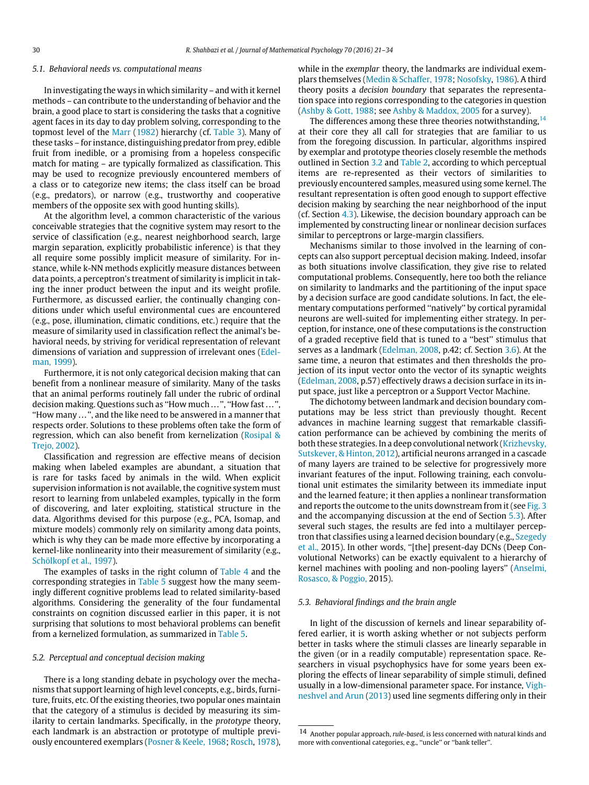#### *5.1. Behavioral needs vs. computational means*

In investigating the ways in which similarity – and with it kernel methods – can contribute to the understanding of behavior and the brain, a good place to start is considering the tasks that a cognitive agent faces in its day to day problem solving, corresponding to the topmost level of the [Marr](#page-12-63) [\(1982\)](#page-12-63) hierarchy (cf. [Table 3\)](#page-10-2). Many of these tasks – for instance, distinguishing predator from prey, edible fruit from inedible, or a promising from a hopeless conspecific match for mating – are typically formalized as classification. This may be used to recognize previously encountered members of a class or to categorize new items; the class itself can be broad (e.g., predators), or narrow (e.g., trustworthy and cooperative members of the opposite sex with good hunting skills).

At the algorithm level, a common characteristic of the various conceivable strategies that the cognitive system may resort to the service of classification (e.g., nearest neighborhood search, large margin separation, explicitly probabilistic inference) is that they all require some possibly implicit measure of similarity. For instance, while k-NN methods explicitly measure distances between data points, a perceptron's treatment of similarity is implicit in taking the inner product between the input and its weight profile. Furthermore, as discussed earlier, the continually changing conditions under which useful environmental cues are encountered (e.g., pose, illumination, climatic conditions, etc.) require that the measure of similarity used in classification reflect the animal's behavioral needs, by striving for veridical representation of relevant [d](#page-12-32)imensions of variation and suppression of irrelevant ones [\(Edel](#page-12-32)[man,](#page-12-32) [1999\)](#page-12-32).

Furthermore, it is not only categorical decision making that can benefit from a nonlinear measure of similarity. Many of the tasks that an animal performs routinely fall under the rubric of ordinal decision making. Questions such as "How much ...", "How fast ...", ''How many . . . '', and the like need to be answered in a manner that respects order. Solutions to these problems often take the form of regression, which can also benefit from kernelization [\(Rosipal](#page-12-64) [&](#page-12-64) [Trejo,](#page-12-64) [2002\)](#page-12-64).

Classification and regression are effective means of decision making when labeled examples are abundant, a situation that is rare for tasks faced by animals in the wild. When explicit supervision information is not available, the cognitive system must resort to learning from unlabeled examples, typically in the form of discovering, and later exploiting, statistical structure in the data. Algorithms devised for this purpose (e.g., PCA, Isomap, and mixture models) commonly rely on similarity among data points, which is why they can be made more effective by incorporating a kernel-like nonlinearity into their measurement of similarity (e.g., [Schölkopf](#page-12-55) [et al.,](#page-12-55) [1997\)](#page-12-55).

The examples of tasks in the right column of [Table 4](#page-10-0) and the corresponding strategies in [Table 5](#page-10-1) suggest how the many seemingly different cognitive problems lead to related similarity-based algorithms. Considering the generality of the four fundamental constraints on cognition discussed earlier in this paper, it is not surprising that solutions to most behavioral problems can benefit from a kernelized formulation, as summarized in [Table 5.](#page-10-1)

## *5.2. Perceptual and conceptual decision making*

There is a long standing debate in psychology over the mechanisms that support learning of high level concepts, e.g., birds, furniture, fruits, etc. Of the existing theories, two popular ones maintain that the category of a stimulus is decided by measuring its similarity to certain landmarks. Specifically, in the *prototype* theory, each landmark is an abstraction or prototype of multiple previously encountered exemplars [\(Posner](#page-12-65) [&](#page-12-65) [Keele,](#page-12-65) [1968;](#page-12-65) [Rosch,](#page-12-66) [1978\)](#page-12-66), while in the *exemplar* theory, the landmarks are individual exemplars themselves [\(Medin](#page-12-67) [&](#page-12-67) [Schaffer,](#page-12-67) [1978;](#page-12-67) [Nosofsky,](#page-12-68) [1986\)](#page-12-68). A third theory posits a *decision boundary* that separates the representation space into regions corresponding to the categories in question [\(Ashby](#page-11-19) [&](#page-11-19) [Gott,](#page-11-19) [1988;](#page-11-19) see [Ashby](#page-11-20) [&](#page-11-20) [Maddox,](#page-11-20) [2005](#page-11-20) for a survey).

The differences among these three theories notwithstanding, $14$ at their core they all call for strategies that are familiar to us from the foregoing discussion. In particular, algorithms inspired by exemplar and prototype theories closely resemble the methods outlined in Section [3.2](#page-4-3) and [Table 2,](#page-5-1) according to which perceptual items are re-represented as their vectors of similarities to previously encountered samples, measured using some kernel. The resultant representation is often good enough to support effective decision making by searching the near neighborhood of the input (cf. Section [4.3\)](#page-8-1). Likewise, the decision boundary approach can be implemented by constructing linear or nonlinear decision surfaces similar to perceptrons or large-margin classifiers.

Mechanisms similar to those involved in the learning of concepts can also support perceptual decision making. Indeed, insofar as both situations involve classification, they give rise to related computational problems. Consequently, here too both the reliance on similarity to landmarks and the partitioning of the input space by a decision surface are good candidate solutions. In fact, the elementary computations performed ''natively'' by cortical pyramidal neurons are well-suited for implementing either strategy. In perception, for instance, one of these computations is the construction of a graded receptive field that is tuned to a ''best'' stimulus that serves as a landmark [\(Edelman,](#page-12-14) [2008,](#page-12-14) p.42; cf. Section [3.6\)](#page-7-3). At the same time, a neuron that estimates and then thresholds the projection of its input vector onto the vector of its synaptic weights [\(Edelman,](#page-12-14) [2008,](#page-12-14) p.57) effectively draws a decision surface in its input space, just like a perceptron or a Support Vector Machine.

The dichotomy between landmark and decision boundary computations may be less strict than previously thought. Recent advances in machine learning suggest that remarkable classification performance can be achieved by combining the merits of both these strategies. In a deep convolutional network [\(Krizhevsky,](#page-12-69) [Sutskever,](#page-12-69) [&](#page-12-69) [Hinton,](#page-12-69) [2012\)](#page-12-69), artificial neurons arranged in a cascade of many layers are trained to be selective for progressively more invariant features of the input. Following training, each convolutional unit estimates the similarity between its immediate input and the learned feature; it then applies a nonlinear transformation and reports the outcome to the units downstream from it (see [Fig. 3](#page-11-21)) and the accompanying discussion at the end of Section [5.3\)](#page-9-1). After several such stages, the results are fed into a multilayer perceptron that classifies using a learned decision boundary (e.g., [Szegedy](#page-13-10) [et al.,](#page-13-10) 2015). In other words, ''[the] present-day DCNs (Deep Convolutional Networks) can be exactly equivalent to a hierarchy of kernel machines with pooling and non-pooling layers'' [\(Anselmi,](#page-11-22) [Rosasco,](#page-11-22) [&](#page-11-22) [Poggio,](#page-11-22) 2015).

#### <span id="page-9-1"></span>*5.3. Behavioral findings and the brain angle*

In light of the discussion of kernels and linear separability offered earlier, it is worth asking whether or not subjects perform better in tasks where the stimuli classes are linearly separable in the given (or in a readily computable) representation space. Researchers in visual psychophysics have for some years been exploring the effects of linear separability of simple stimuli, defined [u](#page-13-11)sually in a low-dimensional parameter space. For instance, [Vigh](#page-13-11)[neshvel](#page-13-11) [and](#page-13-11) [Arun](#page-13-11) [\(2013\)](#page-13-11) used line segments differing only in their

<span id="page-9-0"></span><sup>14</sup> Another popular approach, *rule-based*, is less concerned with natural kinds and more with conventional categories, e.g., ''uncle'' or ''bank teller''.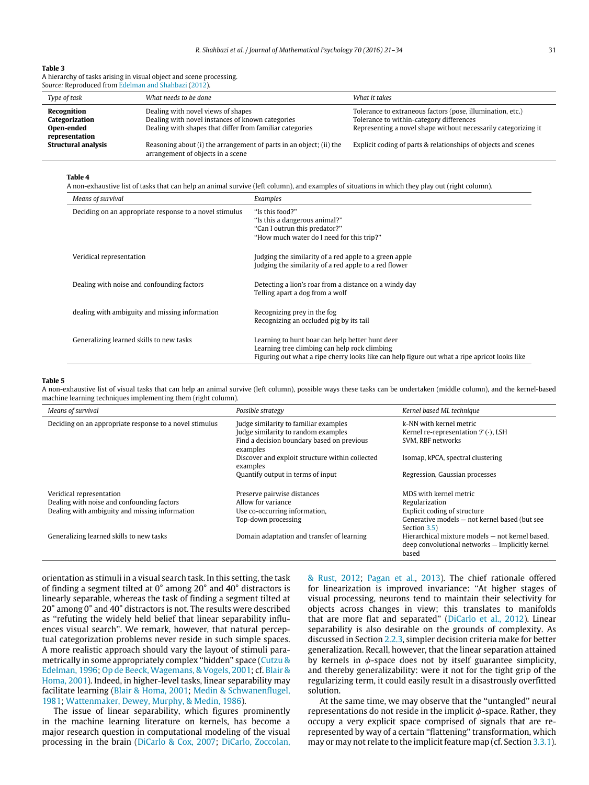#### <span id="page-10-2"></span>**Table 3**

A hierarchy of tasks arising in visual object and scene processing. *Source:* Reproduced from [Edelman](#page-12-6) [and](#page-12-6) [Shahbazi](#page-12-6) [\(2012\)](#page-12-6).

| Type of task        | What needs to be done                                                                                    | What it takes                                                  |
|---------------------|----------------------------------------------------------------------------------------------------------|----------------------------------------------------------------|
| Recognition         | Dealing with novel views of shapes                                                                       | Tolerance to extraneous factors (pose, illumination, etc.)     |
| Categorization      | Dealing with novel instances of known categories                                                         | Tolerance to within-category differences                       |
| Open-ended          | Dealing with shapes that differ from familiar categories                                                 | Representing a novel shape without necessarily categorizing it |
| representation      |                                                                                                          |                                                                |
| Structural analysis | Reasoning about (i) the arrangement of parts in an object; (ii) the<br>arrangement of objects in a scene | Explicit coding of parts & relationships of objects and scenes |

#### <span id="page-10-0"></span>**Table 4**

A non-exhaustive list of tasks that can help an animal survive (left column), and examples of situations in which they play out (right column).

| Means of survival                                       | Examples                                                                                                                                                                                          |  |  |
|---------------------------------------------------------|---------------------------------------------------------------------------------------------------------------------------------------------------------------------------------------------------|--|--|
| Deciding on an appropriate response to a novel stimulus | "Is this food?"<br>"Is this a dangerous animal?"<br>"Can I outrun this predator?"<br>"How much water do I need for this trip?"                                                                    |  |  |
| Veridical representation                                | Judging the similarity of a red apple to a green apple<br>Judging the similarity of a red apple to a red flower                                                                                   |  |  |
| Dealing with noise and confounding factors              | Detecting a lion's roar from a distance on a windy day<br>Telling apart a dog from a wolf                                                                                                         |  |  |
| dealing with ambiguity and missing information          | Recognizing prey in the fog<br>Recognizing an occluded pig by its tail                                                                                                                            |  |  |
| Generalizing learned skills to new tasks                | Learning to hunt boar can help better hunt deer<br>Learning tree climbing can help rock climbing<br>Figuring out what a ripe cherry looks like can help figure out what a ripe apricot looks like |  |  |

#### <span id="page-10-1"></span>**Table 5**

A non-exhaustive list of visual tasks that can help an animal survive (left column), possible ways these tasks can be undertaken (middle column), and the kernel-based machine learning techniques implementing them (right column).

| Means of survival                                                                                                        | Possible strategy                                                                                                                      | Kernel based ML technique                                                                                                                 |
|--------------------------------------------------------------------------------------------------------------------------|----------------------------------------------------------------------------------------------------------------------------------------|-------------------------------------------------------------------------------------------------------------------------------------------|
| Deciding on an appropriate response to a novel stimulus                                                                  | Judge similarity to familiar examples<br>Judge similarity to random examples<br>Find a decision boundary based on previous<br>examples | k-NN with kernel metric<br>Kernel re-representation $\mathcal{T}(\cdot)$ , LSH<br>SVM, RBF networks                                       |
|                                                                                                                          | Discover and exploit structure within collected<br>examples                                                                            | Isomap, kPCA, spectral clustering                                                                                                         |
|                                                                                                                          | Quantify output in terms of input                                                                                                      | Regression, Gaussian processes                                                                                                            |
| Veridical representation<br>Dealing with noise and confounding factors<br>Dealing with ambiguity and missing information | Preserve pairwise distances<br>Allow for variance<br>Use co-occurring information,<br>Top-down processing                              | MDS with kernel metric<br>Regularization<br>Explicit coding of structure<br>Generative models - not kernel based (but see<br>Section 3.5) |
| Generalizing learned skills to new tasks                                                                                 | Domain adaptation and transfer of learning                                                                                             | Hierarchical mixture models – not kernel based.<br>deep convolutional networks - Implicitly kernel<br>based                               |

orientation as stimuli in a visual search task. In this setting, the task of finding a segment tilted at 0° among 20° and 40° distractors is linearly separable, whereas the task of finding a segment tilted at 20° among 0° and 40° distractors is not. The results were described as ''refuting the widely held belief that linear separability influences visual search''. We remark, however, that natural perceptual categorization problems never reside in such simple spaces. A more realistic approach should vary the layout of stimuli para-metrically in some appropriately complex "hidden" space [\(Cutzu](#page-12-70) [&](#page-12-70) [Edelman,](#page-12-70) [1996;](#page-12-70) [Op](#page-12-71) [de](#page-12-71) [Beeck,](#page-12-71) [Wagemans,](#page-12-71) [&](#page-12-71) [Vogels,](#page-12-71) [2001;](#page-12-71) cf. [Blair](#page-11-23) [&](#page-11-23) [Homa,](#page-11-23) [2001\)](#page-11-23). Indeed, in higher-level tasks, linear separability may facilitate learning [\(Blair](#page-11-23) [&](#page-11-23) [Homa,](#page-11-23) [2001;](#page-11-23) [Medin](#page-12-72) [&](#page-12-72) [Schwanenflugel,](#page-12-72) [1981;](#page-12-72) [Wattenmaker,](#page-13-12) [Dewey,](#page-13-12) [Murphy,](#page-13-12) [&](#page-13-12) [Medin,](#page-13-12) [1986\)](#page-13-12).

The issue of linear separability, which figures prominently in the machine learning literature on kernels, has become a major research question in computational modeling of the visual processing in the brain [\(DiCarlo](#page-12-52) [&](#page-12-52) [Cox,](#page-12-52) [2007;](#page-12-52) [DiCarlo,](#page-12-73) [Zoccolan,](#page-12-73) [&](#page-12-73) [Rust,](#page-12-73) [2012;](#page-12-73) [Pagan](#page-12-15) [et al.,](#page-12-15) [2013\)](#page-12-15). The chief rationale offered for linearization is improved invariance: ''At higher stages of visual processing, neurons tend to maintain their selectivity for objects across changes in view; this translates to manifolds that are more flat and separated'' [\(DiCarlo](#page-12-73) [et al.,](#page-12-73) [2012\)](#page-12-73). Linear separability is also desirable on the grounds of complexity. As discussed in Section [2.2.3,](#page-2-1) simpler decision criteria make for better generalization. Recall, however, that the linear separation attained by kernels in  $\phi$ -space does not by itself guarantee simplicity, and thereby generalizability: were it not for the tight grip of the regularizing term, it could easily result in a disastrously overfitted solution.

At the same time, we may observe that the ''untangled'' neural representations do not reside in the implicit  $\phi$ -space. Rather, they occupy a very explicit space comprised of signals that are rerepresented by way of a certain ''flattening'' transformation, which may or may not relate to the implicit feature map (cf. Section [3.3.1\)](#page-5-5).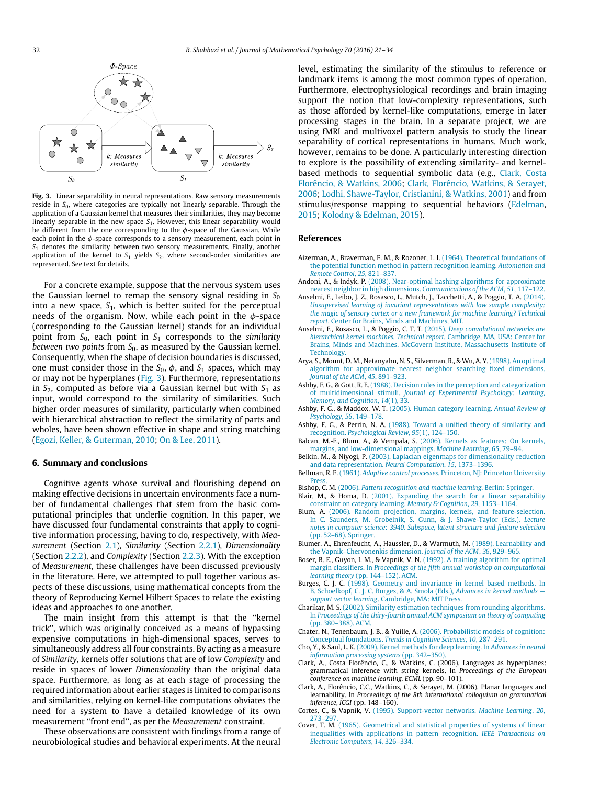<span id="page-11-21"></span>

**Fig. 3.** Linear separability in neural representations. Raw sensory measurements reside in *S*0, where categories are typically not linearly separable. Through the application of a Gaussian kernel that measures their similarities, they may become linearly separable in the new space  $S_1$ . However, this linear separability would be different from the one corresponding to the  $\phi$ -space of the Gaussian. While each point in the  $\phi$ -space corresponds to a sensory measurement, each point in *S*<sup>1</sup> denotes the similarity between two sensory measurements. Finally, another application of the kernel to  $S_1$  yields  $S_2$ , where second-order similarities are represented. See text for details.

For a concrete example, suppose that the nervous system uses the Gaussian kernel to remap the sensory signal residing in  $S_0$ into a new space, *S*1, which is better suited for the perceptual needs of the organism. Now, while each point in the  $\phi$ -space (corresponding to the Gaussian kernel) stands for an individual point from *S*0, each point in *S*<sup>1</sup> corresponds to the *similarity between two points* from  $S_0$ , as measured by the Gaussian kernel. Consequently, when the shape of decision boundaries is discussed, one must consider those in the  $S_0$ ,  $\phi$ , and  $S_1$  spaces, which may or may not be hyperplanes [\(Fig. 3\)](#page-11-21). Furthermore, representations in  $S_2$ , computed as before via a Gaussian kernel but with  $S_1$  as input, would correspond to the similarity of similarities. Such higher order measures of similarity, particularly when combined with hierarchical abstraction to reflect the similarity of parts and wholes, have been shown effective in shape and string matching [\(Egozi,](#page-12-74) [Keller,](#page-12-74) [&](#page-12-74) [Guterman,](#page-12-74) [2010;](#page-12-74) [On](#page-12-75) [&](#page-12-75) [Lee,](#page-12-75) [2011\)](#page-12-75).

#### <span id="page-11-3"></span>**6. Summary and conclusions**

Cognitive agents whose survival and flourishing depend on making effective decisions in uncertain environments face a number of fundamental challenges that stem from the basic computational principles that underlie cognition. In this paper, we have discussed four fundamental constraints that apply to cognitive information processing, having to do, respectively, with *Measurement* (Section [2.1\)](#page-1-2), *Similarity* (Section [2.2.1\)](#page-1-3), *Dimensionality* (Section [2.2.2\)](#page-2-3), and *Complexity* (Section [2.2.3\)](#page-2-1). With the exception of *Measurement*, these challenges have been discussed previously in the literature. Here, we attempted to pull together various aspects of these discussions, using mathematical concepts from the theory of Reproducing Kernel Hilbert Spaces to relate the existing ideas and approaches to one another.

The main insight from this attempt is that the "kernel trick'', which was originally conceived as a means of bypassing expensive computations in high-dimensional spaces, serves to simultaneously address all four constraints. By acting as a measure of *Similarity*, kernels offer solutions that are of low *Complexity* and reside in spaces of lower *Dimensionality* than the original data space. Furthermore, as long as at each stage of processing the required information about earlier stages is limited to comparisons and similarities, relying on kernel-like computations obviates the need for a system to have a detailed knowledge of its own measurement ''front end'', as per the *Measurement* constraint.

These observations are consistent with findings from a range of neurobiological studies and behavioral experiments. At the neural level, estimating the similarity of the stimulus to reference or landmark items is among the most common types of operation. Furthermore, electrophysiological recordings and brain imaging support the notion that low-complexity representations, such as those afforded by kernel-like computations, emerge in later processing stages in the brain. In a separate project, we are using fMRI and multivoxel pattern analysis to study the linear separability of cortical representations in humans. Much work, however, remains to be done. A particularly interesting direction to explore is the possibility of extending similarity- and kernel-based methods to sequential symbolic data (e.g., [Clark,](#page-11-24) [Costa](#page-11-24) [Florêncio,](#page-11-24) [&](#page-11-24) [Watkins,](#page-11-24) [2006;](#page-11-24) [Clark,](#page-11-25) [Florêncio,](#page-11-25) [Watkins,](#page-11-25) [&](#page-11-25) [Serayet,](#page-11-25) [2006;](#page-11-25) [Lodhi,](#page-12-76) [Shawe-Taylor,](#page-12-76) [Cristianini,](#page-12-76) [&](#page-12-76) [Watkins,](#page-12-76) [2001\)](#page-12-76) and from stimulus/response mapping to sequential behaviors [\(Edelman,](#page-12-77) [2015;](#page-12-77) [Kolodny](#page-12-78) [&](#page-12-78) [Edelman,](#page-12-78) [2015\)](#page-12-78).

# **References**

- <span id="page-11-10"></span>Aizerman, A., Braverman, E. M., & Rozoner, L. I. (1964). Theoretical foundations of the [potential function method in pattern recognition learning.](http://refhub.elsevier.com/S0022-2496(15)00076-0/sbref1) *Automation and Remote Control*, *25*, 821–837.
- <span id="page-11-17"></span>Andoni, A., & Indyk, P. [\(2008\). Near-optimal hashing algorithms for approximate](http://refhub.elsevier.com/S0022-2496(15)00076-0/sbref2) nearest neighbor in high dimensions. *Communications of the ACM*, *51*, 117–122.
- <span id="page-11-14"></span>Anselmi, F., Leibo, J. Z., Rosasco, L., Mutch, J., Tacchetti, A., & Poggio, T. A. (2014). *Uns[upervised learning of invariant representations with low sample complexity:](http://refhub.elsevier.com/S0022-2496(15)00076-0/sbref3) the magic of sensory cortex or a new framework for machine learning? Technical report*. Center for Brains, Minds and Machines, MIT.
- <span id="page-11-22"></span>Anselmi, F., Rosasco, L., & Poggio, C. T. T. (2015). *Deep convolutional networks are hierarchical kernel machines. Technical report*. Cambridge, MA, USA: Center for Bra[ins, Minds and Machines, McGovern Institute, Massachusetts Institute of](http://refhub.elsevier.com/S0022-2496(15)00076-0/sbref4) **Technology**
- <span id="page-11-11"></span>Arya, S., Mount, D. M., Netanyahu, N. S., Silverman, R., & Wu, A. Y. (1998). An optimal alg[orithm for approximate nearest neighbor searching fixed dimensions.](http://refhub.elsevier.com/S0022-2496(15)00076-0/sbref5) *Journal of the ACM*, *45*, 891–923.
- <span id="page-11-19"></span>Ashby, F. G., & Gott, R. E. [\(1988\). Decision rules in the perception and categorization](http://refhub.elsevier.com/S0022-2496(15)00076-0/sbref6) of multidimensional stimuli. *Journal of Experimental Psychology: Learning, Memory, and Cognition*, *14*(1), 33.
- <span id="page-11-20"></span>Ashby, F. G., & Maddox, W. T. [\(2005\). Human category learning.](http://refhub.elsevier.com/S0022-2496(15)00076-0/sbref7) *Annual Review of Psychology*, *56*, 149–178.
- <span id="page-11-0"></span>Ashby, F. G., & Perrin, N. A. [\(1988\). Toward a unified theory of similarity and](http://refhub.elsevier.com/S0022-2496(15)00076-0/sbref8) recognition. *Psychological Review*, *95*(1), 124–150.
- <span id="page-11-7"></span>Balcan, M.-F., Blum, A., & Vempala, S. [\(2006\). Kernels as features: On kernels,](http://refhub.elsevier.com/S0022-2496(15)00076-0/sbref9) margins, and low-dimensional mappings. *Machine Learning*, *65*, 79–94.
- <span id="page-11-16"></span>Belkin, M., & Niyogi, P. [\(2003\). Laplacian eigenmaps for dimensionality reduction](http://refhub.elsevier.com/S0022-2496(15)00076-0/sbref10) and data representation. *Neural Computation*, *15*, 1373–1396.
- <span id="page-11-1"></span>Bellman, R. E. (1961). *Adaptive control processes*[. Princeton, NJ: Princeton University](http://refhub.elsevier.com/S0022-2496(15)00076-0/sbref11) Pres
- <span id="page-11-23"></span><span id="page-11-4"></span>Bishop, C. M. (2006). *[Pattern recognition and machine learning](http://refhub.elsevier.com/S0022-2496(15)00076-0/sbref12)*. Berlin: Springer. Blair, M., & Homa, D. [\(2001\). Expanding the search for a linear separability](http://refhub.elsevier.com/S0022-2496(15)00076-0/sbref13)
- <span id="page-11-13"></span>constraint on category learning. *Memory & Cognition*, *29*, 1153–1164. Blum, A. [\(2006\). Random projection, margins, kernels, and feature-selection.](http://refhub.elsevier.com/S0022-2496(15)00076-0/sbref14) In C. Saunders, M. Grobelnik, S. Gunn, & J. Shawe-Taylor (Eds.), *Lecture notes in computer science*: *3940*. *Subspace, latent structure and feature selection* (pp. 52–68). Springer.
- <span id="page-11-6"></span>Blumer[, A., Ehrenfeucht, A., Haussler, D., & Warmuth, M.](http://refhub.elsevier.com/S0022-2496(15)00076-0/sbref15) (1989). Learnability and the Vapnik–Chervonenkis dimension. *Journal of the ACM*, *36*, 929–965.
- <span id="page-11-8"></span>Boser, B. E., Guyon, I. M., & Vapnik, V. N. (1992). A training algorithm for optimal margin classifiers. In *[Proceedings of the fifth annual workshop on computational](http://refhub.elsevier.com/S0022-2496(15)00076-0/sbref16) learning theory* (pp. 144–152). ACM.
- <span id="page-11-15"></span>Burges, C. J. C. [\(1998\). Geometry and invariance in kernel based methods. In](http://refhub.elsevier.com/S0022-2496(15)00076-0/sbref17) B. Schoelkopf, C. J. C. Burges, & A. Smola (Eds.), *Advances in kernel methods support vector learning*. Cambridge, MA: MIT Press.
- <span id="page-11-18"></span>Charikar, M. S. (2002). Similarity estimation techniques from rounding algorithms. In *P[roceedings of the thiry-fourth annual ACM symposium on theory of computing](http://refhub.elsevier.com/S0022-2496(15)00076-0/sbref18)* (pp. 380–388). ACM.
- <span id="page-11-5"></span>Chater, N., Tenenbaum, J. B., & Yuille, A. [\(2006\). Probabilistic models of cognition:](http://refhub.elsevier.com/S0022-2496(15)00076-0/sbref19) Conceptual foundations. *Trends in Cognitive Sciences*, *10*, 287–291.
- <span id="page-11-12"></span>Cho, Y., & Saul, L. K. [\(2009\). Kernel methods for deep learning. In](http://refhub.elsevier.com/S0022-2496(15)00076-0/sbref20) *Advances in neural information processing systems* (pp. 342–350).
- <span id="page-11-24"></span>Clark, A., Costa Florêncio, C., & Watkins, C. (2006). Languages as hyperplanes: grammatical inference with string kernels. In *Proceedings of the European conference on machine learning, ECML* (pp. 90–101).
- <span id="page-11-25"></span>Clark, A., Florêncio, C.C., Watkins, C., & Serayet, M. (2006). Planar languages and learnability. In *Proceedings of the 8th international colloquium on grammatical inference, ICGI* (pp. 148–160).
- <span id="page-11-2"></span>Cortes, C., & Vapnik, V. [\(1995\). Support-vector networks.](http://refhub.elsevier.com/S0022-2496(15)00076-0/sbref23) *Machine Learning*, *20*, 273–297.
- <span id="page-11-9"></span>Cover, T. M. [\(1965\). Geometrical and statistical properties of systems of linear](http://refhub.elsevier.com/S0022-2496(15)00076-0/sbref24) inequalities with applications in pattern recognition. *IEEE Transactions on Electronic Computers*, *14*, 326–334.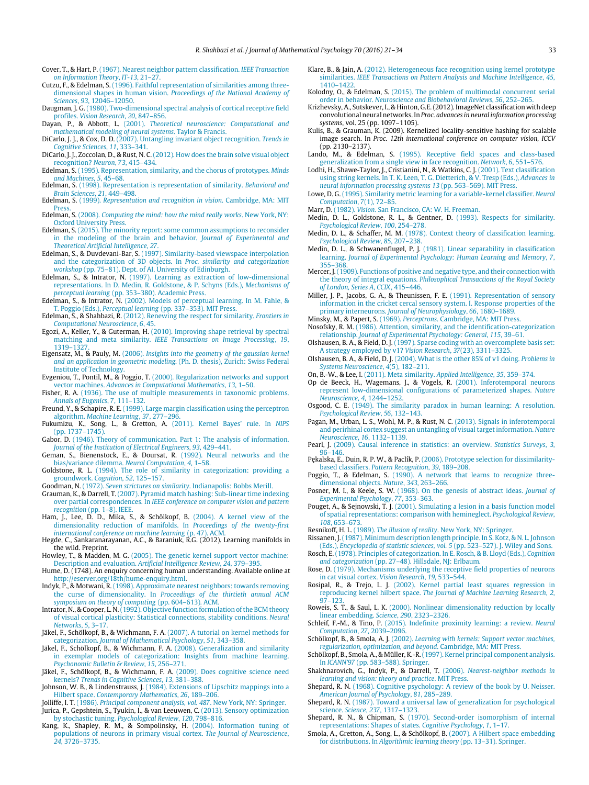- <span id="page-12-22"></span>Cover, T., & Hart, P. [\(1967\). Nearest neighbor pattern classification.](http://refhub.elsevier.com/S0022-2496(15)00076-0/sbref25) *IEEE Transaction on Information Theory*, *IT-13*, 21–27.
- <span id="page-12-70"></span>Cutzu, F., & Edelman, S. [\(1996\). Faithful representation of similarities among three](http://refhub.elsevier.com/S0022-2496(15)00076-0/sbref26)dimensional shapes in human vision. *Proceedings of the National Academy of Sciences*, *93*, 12046–12050.
- <span id="page-12-45"></span>Daugman, J. G. [\(1980\). Two-dimensional spectral analysis of cortical receptive field](http://refhub.elsevier.com/S0022-2496(15)00076-0/sbref27)
- <span id="page-12-48"></span>profiles. *Vision Research*, *20*, 847–856. Dayan, P., & Abbott, L. (2001). *[Theoretical neuroscience: Computational and](http://refhub.elsevier.com/S0022-2496(15)00076-0/sbref28)*
- <span id="page-12-52"></span>*mathematical modeling of neural systems*. Taylor & Francis. DiCarlo, J. J., & Cox, D. D. [\(2007\). Untangling invariant object recognition.](http://refhub.elsevier.com/S0022-2496(15)00076-0/sbref29) *Trends in Cognitive Sciences*, *11*, 333–341.
- <span id="page-12-73"></span>DiCarlo, J. J., Zoccolan, D., & Rust, N. C. [\(2012\). How does the brain solve visual object](http://refhub.elsevier.com/S0022-2496(15)00076-0/sbref30) recognition? *Neuron*, *73*, 415–434.
- <span id="page-12-31"></span>Edelman, S. [\(1995\). Representation, similarity, and the chorus of prototypes.](http://refhub.elsevier.com/S0022-2496(15)00076-0/sbref31) *Minds and Machines*, *5*, 45–68.
- <span id="page-12-3"></span>Edelman, S. [\(1998\). Representation is representation of similarity.](http://refhub.elsevier.com/S0022-2496(15)00076-0/sbref32) *Behavioral and Brain Sciences*, *21*, 449–498.
- <span id="page-12-32"></span>Edelman, S. (1999). *[Representation and recognition in vision](http://refhub.elsevier.com/S0022-2496(15)00076-0/sbref33)*. Cambridge, MA: MIT Press. Edelman, S. (2008). *[Computing the mind: how the mind really works](http://refhub.elsevier.com/S0022-2496(15)00076-0/sbref34)*. New York, NY:
- <span id="page-12-14"></span>Oxford University Press.
- <span id="page-12-77"></span>Edelman, S. [\(2015\). The minority report: some common assumptions to reconsider](http://refhub.elsevier.com/S0022-2496(15)00076-0/sbref35) in the modeling of the brain and behavior. *Journal of Experimental and Theoretical Artificial Intelligence*, *27*.
- <span id="page-12-53"></span>Edelman, S., & Duvdevani-Bar, S. [\(1997\). Similarity-based viewspace interpolation](http://refhub.elsevier.com/S0022-2496(15)00076-0/sbref36) and the categorization of 3D objects. In *Proc. similarity and categorization workshop* (pp. 75–81). Dept. of AI, University of Edinburgh.
- <span id="page-12-10"></span>Edelman, S., & Intrator, N. (1997). Learning as extraction of low-dimensional rep[resentations. In D. Medin, R. Goldstone, & P. Schyns \(Eds.\),](http://refhub.elsevier.com/S0022-2496(15)00076-0/sbref37) *Mechanisms of perceptual learning* (pp. 353–380). Academic Press.
- <span id="page-12-11"></span>Edelman, S., & Intrator, N. [\(2002\). Models of perceptual learning. In M. Fahle, &](http://refhub.elsevier.com/S0022-2496(15)00076-0/sbref38) T. Poggio (Eds.), *Perceptual learning* (pp. 337–353). MIT Press.
- <span id="page-12-6"></span>Edelman, S., & Shahbazi, R. [\(2012\). Renewing the respect for similarity.](http://refhub.elsevier.com/S0022-2496(15)00076-0/sbref39) *Frontiers in Computational Neuroscience*, *6*, 45.
- <span id="page-12-74"></span>Egozi, A., Keller, Y., & Guterman, H. [\(2010\). Improving shape retrieval by spectral](http://refhub.elsevier.com/S0022-2496(15)00076-0/sbref40) matching and meta similarity. *IEEE Transactions on Image Processing*, *19*, 1319–1327.
- <span id="page-12-30"></span>Eigensatz, M., & Pauly, M. (2006). *[Insights into the geometry of the gaussian kernel](http://refhub.elsevier.com/S0022-2496(15)00076-0/sbref41) and an application in geometric modeling*. (Ph. D. thesis), Zurich: Swiss Federal Institute of Technology.
- <span id="page-12-26"></span>Evgeniou, T., Pontil, M., & Poggio, T. [\(2000\). Regularization networks and support](http://refhub.elsevier.com/S0022-2496(15)00076-0/sbref42) vector machines. *Advances in Computational Mathematics*, *13*, 1–50.
- <span id="page-12-24"></span>Fisher, R. A. [\(1936\). The use of multiple measurements in taxonomic problems.](http://refhub.elsevier.com/S0022-2496(15)00076-0/sbref43) *Annals of Eugenics*, *7*, 111–132.
- <span id="page-12-34"></span>Freund, Y., & Schapire, R. E. [\(1999\). Large margin classification using the perceptron](http://refhub.elsevier.com/S0022-2496(15)00076-0/sbref44) algorithm. *Machine Learning*, *37*, 277–296.
- <span id="page-12-41"></span>Fukum[izu, K., Song, L., & Gretton, A.](http://refhub.elsevier.com/S0022-2496(15)00076-0/sbref45) (2011). Kernel Bayes' rule. In *NIPS* (pp. 1737–1745).
- <span id="page-12-17"></span>Gabor, D. [\(1946\). Theory of communication. Part 1: The analysis of information.](http://refhub.elsevier.com/S0022-2496(15)00076-0/sbref46) *Journal of the Institution of Electrical Engineers*, *93*, 429–441.
- <span id="page-12-19"></span>Geman[, S., Bienenstock, E., & Doursat, R.](http://refhub.elsevier.com/S0022-2496(15)00076-0/sbref47) (1992). Neural networks and the bias/variance dilemma. *Neural Computation*, *4*, 1–58.
- <span id="page-12-4"></span>Goldstone, R. L. [\(1994\). The role of similarity in categorization: providing a](http://refhub.elsevier.com/S0022-2496(15)00076-0/sbref48) groundwork. *Cognition*, *52*, 125–157.
- <span id="page-12-1"></span>Goodman, N. (1972). *Seven strictures on similarity*[. Indianapolis: Bobbs Merill.](http://refhub.elsevier.com/S0022-2496(15)00076-0/sbref49)
- <span id="page-12-58"></span>Grauman, K., & Darrell, T. [\(2007\). Pyramid match hashing: Sub-linear time indexing](http://refhub.elsevier.com/S0022-2496(15)00076-0/sbref50) over partial correspondences. In *IEEE conference on computer vision and pattern recognition* (pp. 1–8). IEEE.
- <span id="page-12-56"></span>Ham, J[., Lee, D. D., Mika, S., & Schölkopf, B.](http://refhub.elsevier.com/S0022-2496(15)00076-0/sbref51) (2004). A kernel view of the dimensionality reduction of manifolds. In *Proceedings of the twenty-first international conference on machine learning* (p. 47). ACM.
- <span id="page-12-44"></span>Hegde, C., Sankaranarayanan, A.C., & Baraniuk, R.G. (2012). Learning manifolds in the wild. Preprint.
- <span id="page-12-42"></span>Howley, T., & Madden, M. G. [\(2005\). The genetic kernel support vector machine:](http://refhub.elsevier.com/S0022-2496(15)00076-0/sbref53) Description and evaluation. *Artificial Intelligence Review*, 24, 379–39.
- <span id="page-12-20"></span>Hume, D. (1748). An enquiry concerning human understanding. Available online at [http://eserver.org/18th/hume-enquiry.html.](http://eserver.org/18th/hume-enquiry.html)
- <span id="page-12-57"></span>Indyk, P., & Motwani, R. [\(1998\). Approximate nearest neighbors: towards removing](http://refhub.elsevier.com/S0022-2496(15)00076-0/sbref55) the curse of dimensionality. In *Proceedings of the thirtieth annual ACM symposium on theory of computing* (pp. 604–613). ACM.
- <span id="page-12-23"></span>Intrator, N., & Cooper, L.N. (1992). Objective function formulation of the BCM theory of visual cortical plasticity: Statistical connections, stability conditions. *Neural Networks*, *5*, 3–17.
- <span id="page-12-27"></span>Jäkel, F., Schölkopf, B., & Wichmann, F. A. [\(2007\). A tutorial on kernel methods for](http://refhub.elsevier.com/S0022-2496(15)00076-0/sbref57) categorization. *Journal of Mathematical Psychology*, *51*, 343–358.
- <span id="page-12-8"></span>Jäkel, F., Schölkopf, B., & Wichmann, F. A. (2008). Generalization and similarity in [exemplar models of categorization: Insights from machine learning.](http://refhub.elsevier.com/S0022-2496(15)00076-0/sbref58) *Psychonomic Bulletin & Review*, *15*, 256–271.
- <span id="page-12-9"></span>Jäkel, F., Schölkopf, B., & Wichmann, F. A. [\(2009\). Does cognitive science need](http://refhub.elsevier.com/S0022-2496(15)00076-0/sbref59) kernels? *Trends in Cognitive Sciences*, *13*, 381–388.
- <span id="page-12-37"></span>Johnson, W. B., & Lindenstrauss, J. [\(1984\). Extensions of Lipschitz mappings into a](http://refhub.elsevier.com/S0022-2496(15)00076-0/sbref60) Hilbert space. *Contemporary Mathematics*, *26*, 189–206.
- <span id="page-12-18"></span><span id="page-12-12"></span>Jolliffe, I. T. (1986). *[Principal component analysis, vol. 487](http://refhub.elsevier.com/S0022-2496(15)00076-0/sbref61)*. New York, NY: Springer. Jurica, [P., Gepshtein, S., Tyukin, I., & van Leeuwen, C.](http://refhub.elsevier.com/S0022-2496(15)00076-0/sbref62) (2013). Sensory optimization
- by stochastic tuning. *Psychological Review*, *120*, 798–816.
- <span id="page-12-46"></span>Kang, K., Shapley, R. M., & Sompolinsky, H. (2004). Information tuning of po[pulations of neurons in primary visual cortex.](http://refhub.elsevier.com/S0022-2496(15)00076-0/sbref63) *The Journal of Neuroscience*, *24*, 3726–3735.
- <span id="page-12-39"></span>Klare, B., & Jain, A. [\(2012\). Heterogeneous face recognition using kernel prototype](http://refhub.elsevier.com/S0022-2496(15)00076-0/sbref64) similarities. *IEEE Transactions on Pattern Analysis and Machine Intelligence*, *45*, 1410–1422.
- <span id="page-12-78"></span>Kolodny, O., & Edelman, S. [\(2015\). The problem of multimodal concurrent serial](http://refhub.elsevier.com/S0022-2496(15)00076-0/sbref65) order in behavior. *Neuroscience and Biobehavioral Reviews*, *56*, 252–265.
- <span id="page-12-69"></span>Krizhevsky, A., Sutskever, I., & Hinton, G.E. (2012). ImageNet classification with deep convolutional neural networks. In *Proc. advances in neural information processing systems*, vol. 25 (pp. 1097–1105).
- <span id="page-12-60"></span>Kulis, B., & Grauman, K. (2009). Kernelized locality-sensitive hashing for scalable image search. In *Proc. 12th international conference on computer vision, ICCV* (pp. 2130–2137).
- <span id="page-12-54"></span>Lando, M., & Edelman, S. [\(1995\). Receptive field spaces and class-based](http://refhub.elsevier.com/S0022-2496(15)00076-0/sbref68) generalization from a single view in face recognition. *Network*, *6*, 551–576.
- <span id="page-12-76"></span>Lodhi, H., Shawe-Taylor, J., Cristianini, N., & Watkins, C. J. (2001). Text classification usi[ng string kernels. In T. K. Leen, T. G. Dietterich, & V. Tresp \(Eds.\),](http://refhub.elsevier.com/S0022-2496(15)00076-0/sbref69) *Advances in neural information processing systems 13* (pp. 563–569). MIT Press.
- <span id="page-12-43"></span>Lowe, D. G. [\(1995\). Similarity metric learning for a variable-kernel classifier.](http://refhub.elsevier.com/S0022-2496(15)00076-0/sbref70) *Neural Computation*, *7*(1), 72–85.
- <span id="page-12-63"></span>Marr, D. (1982). *Vision*[. San Francisco, CA: W. H. Freeman.](http://refhub.elsevier.com/S0022-2496(15)00076-0/sbref71)
- <span id="page-12-5"></span>Medin, [D. L., Goldstone, R. L., & Gentner, D.](http://refhub.elsevier.com/S0022-2496(15)00076-0/sbref72) (1993). Respects for similarity. *Psychological Review*, *100*, 254–278.
- <span id="page-12-67"></span>Medin, D. L., & Schaffer, M. M. [\(1978\). Context theory of classification learning.](http://refhub.elsevier.com/S0022-2496(15)00076-0/sbref73) *Psychological Review*, *85*, 207–238.
- <span id="page-12-72"></span>Medin, D. L., & Schwanenflugel, P. J. (1981). Linear separability in classification learning. *[Journal of Experimental Psychology: Human Learning and Memory](http://refhub.elsevier.com/S0022-2496(15)00076-0/sbref74)*, *7*, 355–368.
- <span id="page-12-29"></span>Mercer, J. (1909). Functions of positive and negative type, and their connection with the theory of integral equations. *Philosophical Transactions of the Royal Society of London, Series A*, *CCIX*, 415–446.
- <span id="page-12-49"></span>Miller, J. P., Jacobs, G. A., & Theunissen, F. E. (1991). Representation of sensory inf[ormation in the cricket cercal sensory system. I. Response properties of the](http://refhub.elsevier.com/S0022-2496(15)00076-0/sbref76) primary interneurons. *Journal of Neurophysiology*, *66*, 1680–1689.
- <span id="page-12-33"></span>Minsky, M., & Papert, S. (1969). *Perceptrons*[. Cambridge, MA: MIT Press.](http://refhub.elsevier.com/S0022-2496(15)00076-0/sbref77)
- <span id="page-12-68"></span>Nosofsky, R. M. [\(1986\). Attention, similarity, and the identification-categorization](http://refhub.elsevier.com/S0022-2496(15)00076-0/sbref78) relationship. *Journal of Experimental Psychology: General*, *115*, 39–61.
- <span id="page-12-61"></span>Olshausen, B. A., & Field, D. J. [\(1997\). Sparse coding with an overcomplete basis set:](http://refhub.elsevier.com/S0022-2496(15)00076-0/sbref79) A strategy employed by v1? *Vision Research*, *37*(23), 3311–3325.
- <span id="page-12-62"></span>Olshausen, B. A., & Field, D. J. [\(2004\). What is the other 85% of v1 doing.](http://refhub.elsevier.com/S0022-2496(15)00076-0/sbref80) *Problems in Systems Neuroscience*, *4*(5), 182–211.
- <span id="page-12-75"></span>On, B.-W., & Lee, I. [\(2011\). Meta similarity.](http://refhub.elsevier.com/S0022-2496(15)00076-0/sbref81) *Applied Intelligence*, *35*, 359–374.
- <span id="page-12-71"></span>Op de Beeck, H., Wagemans, J., & Vogels, R. (2001). Inferotemporal neurons rep[resent low-dimensional configurations of parameterized shapes.](http://refhub.elsevier.com/S0022-2496(15)00076-0/sbref82) *Nature Neuroscience*, *4*, 1244–1252.
- <span id="page-12-0"></span>Osgood, C. E. [\(1949\). The similarity paradox in human learning: A resolution.](http://refhub.elsevier.com/S0022-2496(15)00076-0/sbref83) *Psychological Review*, *56*, 132–143.
- <span id="page-12-15"></span>Pagan, M., Urban, L. S., Wohl, M. P., & Rust, N. C. (2013). Signals in inferotemporal an[d perirhinal cortex suggest an untangling of visual target information.](http://refhub.elsevier.com/S0022-2496(15)00076-0/sbref84) *Nature Neuroscience*, *16*, 1132–1139.
- <span id="page-12-21"></span>Pearl, J. [\(2009\). Causal inference in statistics: an overview.](http://refhub.elsevier.com/S0022-2496(15)00076-0/sbref85) *Statistics Surveys*, *3*, 96–146.
- <span id="page-12-38"></span>Pękalska, E., Duin, R. P. W., & Paclík, P. [\(2006\). Prototype selection for dissimilarity](http://refhub.elsevier.com/S0022-2496(15)00076-0/sbref86)based classifiers. *Pattern Recognition*, *39*, 189–208.
- <span id="page-12-51"></span>Poggio, T., & Edelman, S. [\(1990\). A network that learns to recognize three](http://refhub.elsevier.com/S0022-2496(15)00076-0/sbref87)dimensional objects. *Nature*, *343*, 263–266.
- <span id="page-12-65"></span>Posner, M. I., & Keele, S. W. [\(1968\). On the genesis of abstract ideas.](http://refhub.elsevier.com/S0022-2496(15)00076-0/sbref88) *Journal of Experimental Psychology*, *77*, 353–363.
- <span id="page-12-50"></span>Pouget, A., & Sejnowski, T. J. (2001). Simulating a lesion in a basis function model of s[patial representations: comparison with hemineglect.](http://refhub.elsevier.com/S0022-2496(15)00076-0/sbref89) *Psychological Review*, *108*, 653–673.
- <span id="page-12-16"></span>Resnikoff, H. L. (1989). *The illusion of reality*[. New York, NY: Springer.](http://refhub.elsevier.com/S0022-2496(15)00076-0/sbref90)
- <span id="page-12-25"></span>Rissan[en, J.\(1987\). Minimum description length principle. In S. Kotz, & N. L. Johnson](http://refhub.elsevier.com/S0022-2496(15)00076-0/sbref91) (Eds.), *Encyclopedia of statistic sciences, vol. 5* (pp. 523–527). J. Wiley and Sons.

<span id="page-12-66"></span>Rosch, E. [\(1978\). Principles of categorization. In E. Rosch, & B. Lloyd \(Eds.\),](http://refhub.elsevier.com/S0022-2496(15)00076-0/sbref92) *Cognition and categorization* (pp. 27–48). Hillsdale, NJ: Erlbaum.

- <span id="page-12-47"></span>Rose, D. [\(1979\). Mechanisms underlying the receptive field properties of neurons](http://refhub.elsevier.com/S0022-2496(15)00076-0/sbref93) in cat visual cortex. *Vision Research*, *19*, 533–544.
- <span id="page-12-64"></span>Rosipal, R., & Trejo, L. J. [\(2002\). Kernel partial least squares regression in](http://refhub.elsevier.com/S0022-2496(15)00076-0/sbref94) reproducing kernel hilbert space. *The Journal of Machine Learning Research*, *2*,  $97-12$
- <span id="page-12-13"></span>Roweis, S. T., & Saul, L. K. [\(2000\). Nonlinear dimensionality reduction by locally](http://refhub.elsevier.com/S0022-2496(15)00076-0/sbref95) linear embedding. *Science*, *290*, 2323–2326.
- <span id="page-12-28"></span>Schleif, F.-M., & Tino, P. [\(2015\). Indefinite proximity learning: a review.](http://refhub.elsevier.com/S0022-2496(15)00076-0/sbref96) *Neural Computation*, *27*, 2039–2096.
- <span id="page-12-7"></span>Schölkopf, B., & Smola, A. J. (2002). *[Learning with kernels: Support vector machines,](http://refhub.elsevier.com/S0022-2496(15)00076-0/sbref97) regularization, optimization, and beyond*. Cambridge, MA: MIT Press.
- <span id="page-12-55"></span>Schölk[opf, B., Smola, A., & Müller, K.-R.\(1997\). Kernel principal component analysis.](http://refhub.elsevier.com/S0022-2496(15)00076-0/sbref98) In *ICANN'97* (pp. 583–588). Springer.
- <span id="page-12-59"></span>Shakh[narovich, G., Indyk, P., & Darrell, T.](http://refhub.elsevier.com/S0022-2496(15)00076-0/sbref99) (2006). *Nearest-neighbor methods in learning and vision: theory and practice*. MIT Press.
- <span id="page-12-35"></span>Shepard, R. N. [\(1968\). Cognitive psychology: A review of the book by U. Neisser.](http://refhub.elsevier.com/S0022-2496(15)00076-0/sbref100) *American Journal of Psychology*, *81*, 285–289.
- <span id="page-12-2"></span>Shepard, R. N. [\(1987\). Toward a universal law of generalization for psychological](http://refhub.elsevier.com/S0022-2496(15)00076-0/sbref101) science. *Science*, *237*, 1317–1323.
- <span id="page-12-36"></span>Shepard, R. N., & Chipman, S. [\(1970\). Second-order isomorphism of internal](http://refhub.elsevier.com/S0022-2496(15)00076-0/sbref102) representations: Shapes of states. *Cognitive Psychology*, *1*, 1–17.
- <span id="page-12-40"></span>Smola, [A., Gretton, A., Song, L., & Schölkopf, B.](http://refhub.elsevier.com/S0022-2496(15)00076-0/sbref103) (2007). A Hilbert space embedding for distributions. In *Algorithmic learning theory* (pp. 13–31). Springer.